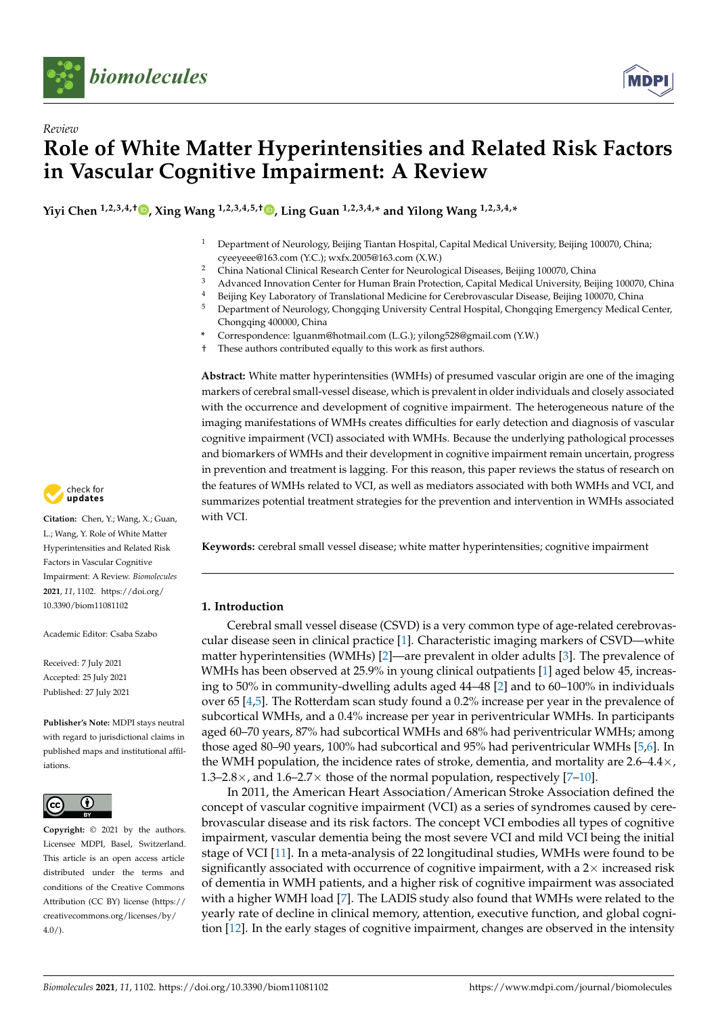

*Review*



# **Role of White Matter Hyperintensities and Related Risk Factors in Vascular Cognitive Impairment: A Review**

**Yiyi Chen 1,2,3,4,† [,](https://orcid.org/0000-0002-5363-8898) Xing Wang 1,2,3,4,5,† [,](https://orcid.org/0000-0002-2435-6533) Ling Guan 1,2,3,4,\* and Yilong Wang 1,2,3,4,\***

- <sup>1</sup> Department of Neurology, Beijing Tiantan Hospital, Capital Medical University, Beijing 100070, China; cyeeyeee@163.com (Y.C.); wxfx.2005@163.com (X.W.)
- <sup>2</sup> China National Clinical Research Center for Neurological Diseases, Beijing 100070, China
- <sup>3</sup> Advanced Innovation Center for Human Brain Protection, Capital Medical University, Beijing 100070, China
- <sup>4</sup> Beijing Key Laboratory of Translational Medicine for Cerebrovascular Disease, Beijing 100070, China<br><sup>5</sup> Department of Neurology Chongging University Central Hospital Chongging Emergency Medical 0
- <sup>5</sup> Department of Neurology, Chongqing University Central Hospital, Chongqing Emergency Medical Center, Chongqing 400000, China
- **\*** Correspondence: lguanm@hotmail.com (L.G.); yilong528@gmail.com (Y.W.)
- These authors contributed equally to this work as first authors.

**Abstract:** White matter hyperintensities (WMHs) of presumed vascular origin are one of the imaging markers of cerebral small-vessel disease, which is prevalent in older individuals and closely associated with the occurrence and development of cognitive impairment. The heterogeneous nature of the imaging manifestations of WMHs creates difficulties for early detection and diagnosis of vascular cognitive impairment (VCI) associated with WMHs. Because the underlying pathological processes and biomarkers of WMHs and their development in cognitive impairment remain uncertain, progress in prevention and treatment is lagging. For this reason, this paper reviews the status of research on the features of WMHs related to VCI, as well as mediators associated with both WMHs and VCI, and summarizes potential treatment strategies for the prevention and intervention in WMHs associated with VCI.

**Keywords:** cerebral small vessel disease; white matter hyperintensities; cognitive impairment

## **1. Introduction**

Cerebral small vessel disease (CSVD) is a very common type of age-related cerebrovascular disease seen in clinical practice [\[1\]](#page-9-0). Characteristic imaging markers of CSVD—white matter hyperintensities (WMHs) [\[2\]](#page-9-1)—are prevalent in older adults [\[3\]](#page-9-2). The prevalence of WMHs has been observed at 25.9% in young clinical outpatients [\[1\]](#page-9-0) aged below 45, increasing to 50% in community-dwelling adults aged 44–48 [\[2\]](#page-9-1) and to 60–100% in individuals over 65 [\[4](#page-9-3)[,5\]](#page-9-4). The Rotterdam scan study found a 0.2% increase per year in the prevalence of subcortical WMHs, and a 0.4% increase per year in periventricular WMHs. In participants aged 60–70 years, 87% had subcortical WMHs and 68% had periventricular WMHs; among those aged 80–90 years, 100% had subcortical and 95% had periventricular WMHs [\[5](#page-9-4)[,6\]](#page-9-5). In the WMH population, the incidence rates of stroke, dementia, and mortality are  $2.6-4.4\times$ , 1.3–2.8 $\times$ , and 1.6–2.7 $\times$  those of the normal population, respectively [\[7](#page-9-6)[–10\]](#page-9-7).

In 2011, the American Heart Association/American Stroke Association defined the concept of vascular cognitive impairment (VCI) as a series of syndromes caused by cerebrovascular disease and its risk factors. The concept VCI embodies all types of cognitive impairment, vascular dementia being the most severe VCI and mild VCI being the initial stage of VCI [\[11\]](#page-9-8). In a meta-analysis of 22 longitudinal studies, WMHs were found to be significantly associated with occurrence of cognitive impairment, with a  $2\times$  increased risk of dementia in WMH patients, and a higher risk of cognitive impairment was associated with a higher WMH load [\[7\]](#page-9-6). The LADIS study also found that WMHs were related to the yearly rate of decline in clinical memory, attention, executive function, and global cognition [\[12\]](#page-9-9). In the early stages of cognitive impairment, changes are observed in the intensity



**Citation:** Chen, Y.; Wang, X.; Guan, L.; Wang, Y. Role of White Matter Hyperintensities and Related Risk Factors in Vascular Cognitive Impairment: A Review. *Biomolecules* **2021**, *11*, 1102. [https://doi.org/](https://doi.org/10.3390/biom11081102) [10.3390/biom11081102](https://doi.org/10.3390/biom11081102)

Academic Editor: Csaba Szabo

Received: 7 July 2021 Accepted: 25 July 2021 Published: 27 July 2021

**Publisher's Note:** MDPI stays neutral with regard to jurisdictional claims in published maps and institutional affiliations.



**Copyright:** © 2021 by the authors. Licensee MDPI, Basel, Switzerland. This article is an open access article distributed under the terms and conditions of the Creative Commons Attribution (CC BY) license (https:/[/](https://creativecommons.org/licenses/by/4.0/) [creativecommons.org/licenses/by/](https://creativecommons.org/licenses/by/4.0/)  $4.0/$ ).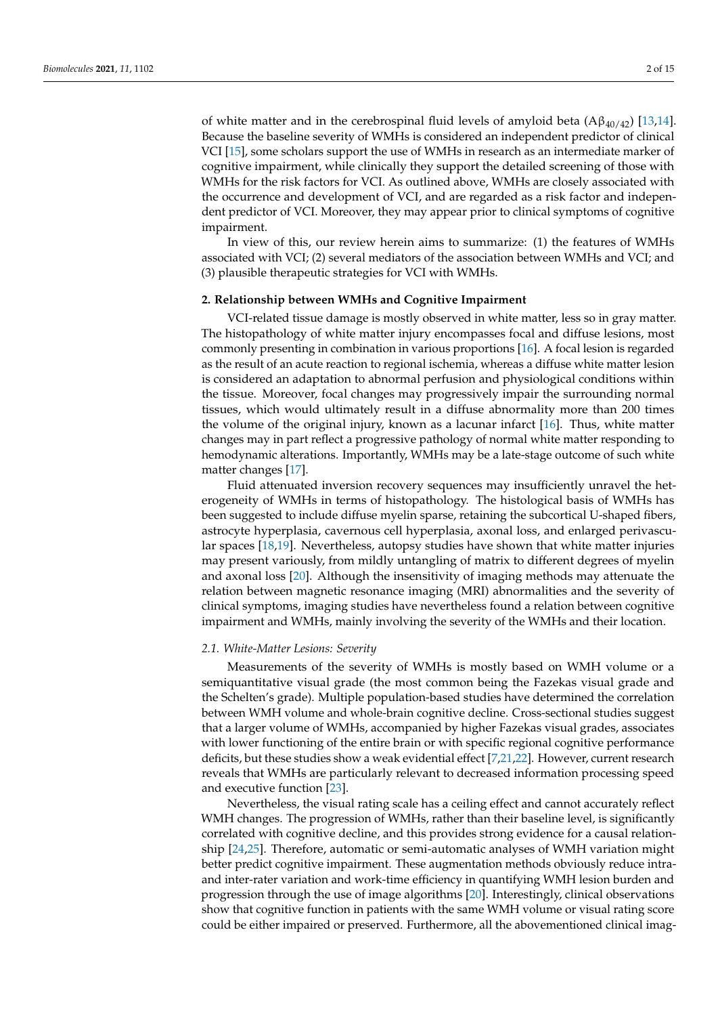of white matter and in the cerebrospinal fluid levels of amyloid beta  $(A\beta_{40/42})$  [\[13,](#page-9-10)[14\]](#page-10-0). Because the baseline severity of WMHs is considered an independent predictor of clinical VCI [\[15\]](#page-10-1), some scholars support the use of WMHs in research as an intermediate marker of cognitive impairment, while clinically they support the detailed screening of those with WMHs for the risk factors for VCI. As outlined above, WMHs are closely associated with the occurrence and development of VCI, and are regarded as a risk factor and independent predictor of VCI. Moreover, they may appear prior to clinical symptoms of cognitive impairment.

In view of this, our review herein aims to summarize: (1) the features of WMHs associated with VCI; (2) several mediators of the association between WMHs and VCI; and (3) plausible therapeutic strategies for VCI with WMHs.

#### **2. Relationship between WMHs and Cognitive Impairment**

VCI-related tissue damage is mostly observed in white matter, less so in gray matter. The histopathology of white matter injury encompasses focal and diffuse lesions, most commonly presenting in combination in various proportions [\[16\]](#page-10-2). A focal lesion is regarded as the result of an acute reaction to regional ischemia, whereas a diffuse white matter lesion is considered an adaptation to abnormal perfusion and physiological conditions within the tissue. Moreover, focal changes may progressively impair the surrounding normal tissues, which would ultimately result in a diffuse abnormality more than 200 times the volume of the original injury, known as a lacunar infarct [\[16\]](#page-10-2). Thus, white matter changes may in part reflect a progressive pathology of normal white matter responding to hemodynamic alterations. Importantly, WMHs may be a late-stage outcome of such white matter changes [\[17\]](#page-10-3).

Fluid attenuated inversion recovery sequences may insufficiently unravel the heterogeneity of WMHs in terms of histopathology. The histological basis of WMHs has been suggested to include diffuse myelin sparse, retaining the subcortical U-shaped fibers, astrocyte hyperplasia, cavernous cell hyperplasia, axonal loss, and enlarged perivascular spaces [\[18](#page-10-4)[,19\]](#page-10-5). Nevertheless, autopsy studies have shown that white matter injuries may present variously, from mildly untangling of matrix to different degrees of myelin and axonal loss [\[20\]](#page-10-6). Although the insensitivity of imaging methods may attenuate the relation between magnetic resonance imaging (MRI) abnormalities and the severity of clinical symptoms, imaging studies have nevertheless found a relation between cognitive impairment and WMHs, mainly involving the severity of the WMHs and their location.

#### *2.1. White-Matter Lesions: Severity*

Measurements of the severity of WMHs is mostly based on WMH volume or a semiquantitative visual grade (the most common being the Fazekas visual grade and the Schelten's grade). Multiple population-based studies have determined the correlation between WMH volume and whole-brain cognitive decline. Cross-sectional studies suggest that a larger volume of WMHs, accompanied by higher Fazekas visual grades, associates with lower functioning of the entire brain or with specific regional cognitive performance deficits, but these studies show a weak evidential effect [\[7,](#page-9-6)[21](#page-10-7)[,22\]](#page-10-8). However, current research reveals that WMHs are particularly relevant to decreased information processing speed and executive function [\[23\]](#page-10-9).

Nevertheless, the visual rating scale has a ceiling effect and cannot accurately reflect WMH changes. The progression of WMHs, rather than their baseline level, is significantly correlated with cognitive decline, and this provides strong evidence for a causal relationship [\[24,](#page-10-10)[25\]](#page-10-11). Therefore, automatic or semi-automatic analyses of WMH variation might better predict cognitive impairment. These augmentation methods obviously reduce intraand inter-rater variation and work-time efficiency in quantifying WMH lesion burden and progression through the use of image algorithms [\[20\]](#page-10-6). Interestingly, clinical observations show that cognitive function in patients with the same WMH volume or visual rating score could be either impaired or preserved. Furthermore, all the abovementioned clinical imag-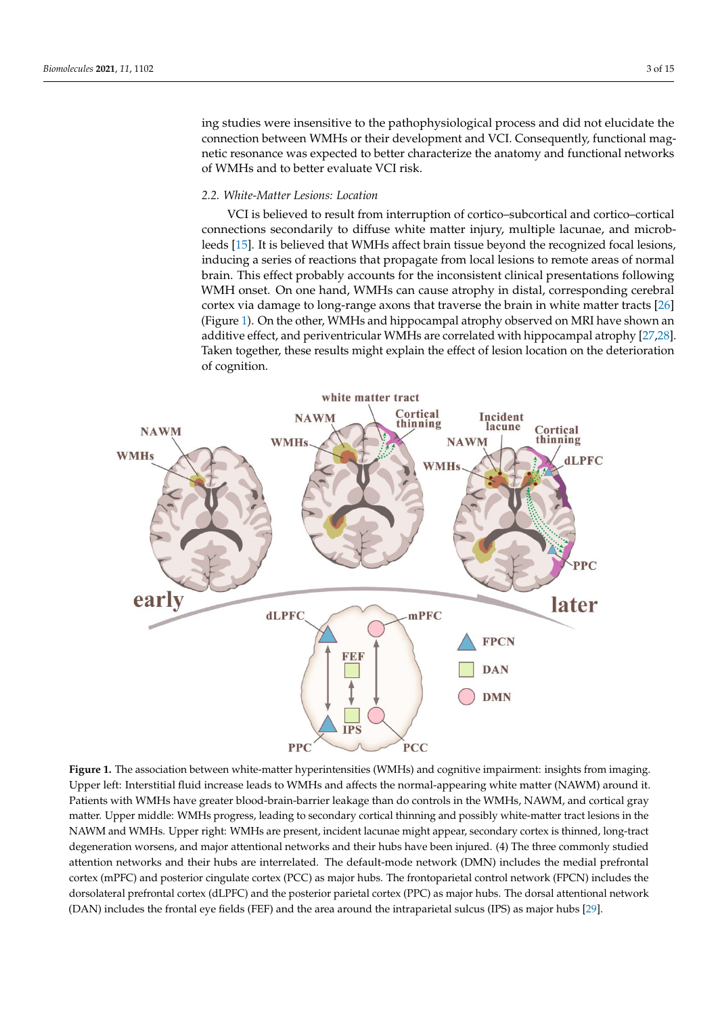ing studies were insensitive to the pathophysiological process and did not elucidate the connection between WMHs or their development and VCI. Consequently, functional magnetic resonance was expected to better characterize the anatomy and functional networks of WMHs and to better evaluate VCI risk. *2.2. White-Matter Lesions: Location*  magnetic resonance was expected to better characterize the anatomy and functional netmy studies were insensitive to the pathophysiology

# 2.2. White-Matter Lesions: Location **secondary, multiple matter in the matter of the microble lacunae**, and micro

VCI is believed to result from interruption of cortico–subcortical and cortico–cortical connections secondarily to diffuse white matter injury, multiple lacunae, and microb-ducing a series of reactions that propagate from local lesions to remote areas of normal leeds [\[15\]](#page-10-1). It is believed that WMHs affect brain tissue beyond the recognized focal lesions,<br>in heritor consistent consistent the inconsentations for the incollections for the inconsistence of means of inducing a series of reactions that propagate from local lesions to remote areas of normal brain. This effect probably accounts for the inconsistent clinical presentations following WMH onset. On one hand, WMHs can cause atrophy in distal, corresponding cerebral cortex via damage to long-range axons that traverse the brain in white matter tracts [\[26\]](#page-10-12) (Figure 1). On the other, WMHs and hippocampal atrophy observed on MRI have shown an additive effect, and periventricular WMHs are correlated with hippocampal atrophy [27,28]. Taken together, these results might explain the effect of lesion location on the deterioration of cognition.

<span id="page-2-0"></span>

Patients with WMHs have greater blood-brain-barrier leakage than do controls in the WMHs, NAWM, and cortical gray matter. Upper middle: WMHs progress, leading to secondary cortical thinning and possibly white-matter tract lesions in the NAWM and WMHs. Upper right: WMHs are present, incident lacunae might appear, secondary cortex is thinned, long-tract degeneration worsens, and major attentional networks and their hubs have been injured. (4) The three commonly studied attention networks and their hubs are interrelated. The default-mode network (DMN) includes the medial prefrontal cortex (mPFC) and posterior cingulate cortex (PCC) as major hubs. The frontoparietal control network (FPCN) includes the dorsolateral prefrontal cortex (dLPFC) and the posterior parietal cortex (PPC) as major hubs. The dorsal attentional network **Figure 1.** The association between white-matter hyperintensities (WMHs) and cognitive impairment: insights from imaging. Upper left: Interstitial fluid increase leads to WMHs and affects the normal-appearing white matter (NAWM) around it. (DAN) includes the frontal eye fields (FEF) and the area around the intraparietal sulcus (IPS) as major hubs [\[29\]](#page-10-15).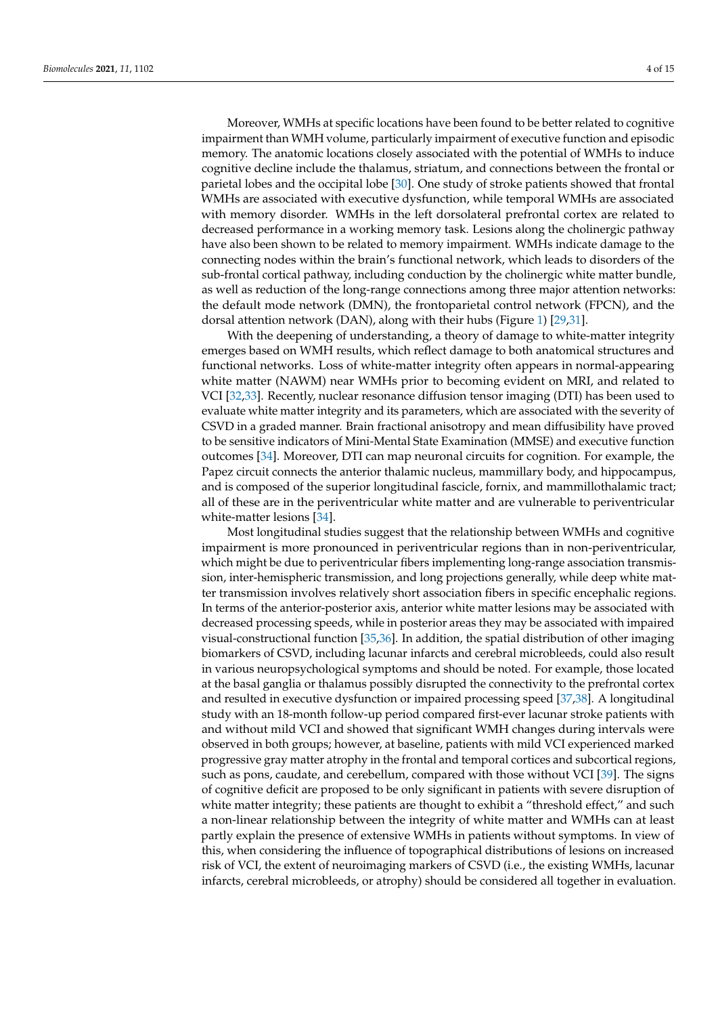Moreover, WMHs at specific locations have been found to be better related to cognitive impairment than WMH volume, particularly impairment of executive function and episodic memory. The anatomic locations closely associated with the potential of WMHs to induce cognitive decline include the thalamus, striatum, and connections between the frontal or parietal lobes and the occipital lobe [\[30\]](#page-10-16). One study of stroke patients showed that frontal WMHs are associated with executive dysfunction, while temporal WMHs are associated with memory disorder. WMHs in the left dorsolateral prefrontal cortex are related to decreased performance in a working memory task. Lesions along the cholinergic pathway have also been shown to be related to memory impairment. WMHs indicate damage to the connecting nodes within the brain's functional network, which leads to disorders of the sub-frontal cortical pathway, including conduction by the cholinergic white matter bundle, as well as reduction of the long-range connections among three major attention networks: the default mode network (DMN), the frontoparietal control network (FPCN), and the dorsal attention network (DAN), along with their hubs (Figure [1\)](#page-2-0) [\[29,](#page-10-15)[31\]](#page-10-17).

With the deepening of understanding, a theory of damage to white-matter integrity emerges based on WMH results, which reflect damage to both anatomical structures and functional networks. Loss of white-matter integrity often appears in normal-appearing white matter (NAWM) near WMHs prior to becoming evident on MRI, and related to VCI [\[32](#page-10-18)[,33\]](#page-10-19). Recently, nuclear resonance diffusion tensor imaging (DTI) has been used to evaluate white matter integrity and its parameters, which are associated with the severity of CSVD in a graded manner. Brain fractional anisotropy and mean diffusibility have proved to be sensitive indicators of Mini-Mental State Examination (MMSE) and executive function outcomes [\[34\]](#page-10-20). Moreover, DTI can map neuronal circuits for cognition. For example, the Papez circuit connects the anterior thalamic nucleus, mammillary body, and hippocampus, and is composed of the superior longitudinal fascicle, fornix, and mammillothalamic tract; all of these are in the periventricular white matter and are vulnerable to periventricular white-matter lesions [\[34\]](#page-10-20).

Most longitudinal studies suggest that the relationship between WMHs and cognitive impairment is more pronounced in periventricular regions than in non-periventricular, which might be due to periventricular fibers implementing long-range association transmission, inter-hemispheric transmission, and long projections generally, while deep white matter transmission involves relatively short association fibers in specific encephalic regions. In terms of the anterior-posterior axis, anterior white matter lesions may be associated with decreased processing speeds, while in posterior areas they may be associated with impaired visual-constructional function [\[35,](#page-10-21)[36\]](#page-10-22). In addition, the spatial distribution of other imaging biomarkers of CSVD, including lacunar infarcts and cerebral microbleeds, could also result in various neuropsychological symptoms and should be noted. For example, those located at the basal ganglia or thalamus possibly disrupted the connectivity to the prefrontal cortex and resulted in executive dysfunction or impaired processing speed [\[37,](#page-10-23)[38\]](#page-10-24). A longitudinal study with an 18-month follow-up period compared first-ever lacunar stroke patients with and without mild VCI and showed that significant WMH changes during intervals were observed in both groups; however, at baseline, patients with mild VCI experienced marked progressive gray matter atrophy in the frontal and temporal cortices and subcortical regions, such as pons, caudate, and cerebellum, compared with those without VCI [\[39\]](#page-11-0). The signs of cognitive deficit are proposed to be only significant in patients with severe disruption of white matter integrity; these patients are thought to exhibit a "threshold effect," and such a non-linear relationship between the integrity of white matter and WMHs can at least partly explain the presence of extensive WMHs in patients without symptoms. In view of this, when considering the influence of topographical distributions of lesions on increased risk of VCI, the extent of neuroimaging markers of CSVD (i.e., the existing WMHs, lacunar infarcts, cerebral microbleeds, or atrophy) should be considered all together in evaluation.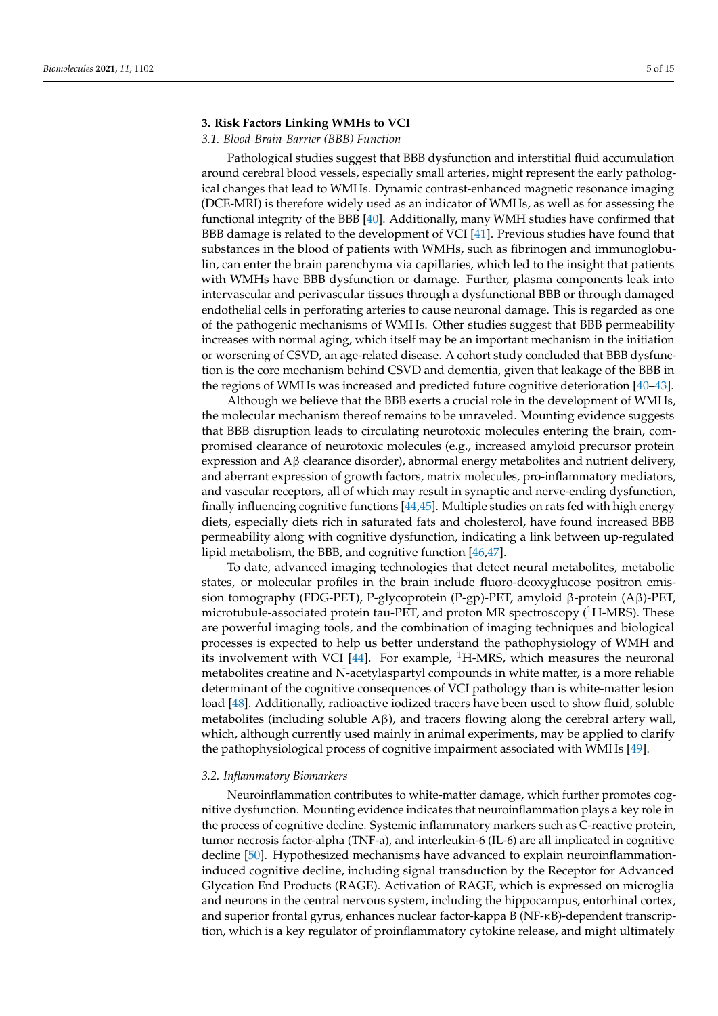## **3. Risk Factors Linking WMHs to VCI**

# *3.1. Blood-Brain-Barrier (BBB) Function*

Pathological studies suggest that BBB dysfunction and interstitial fluid accumulation around cerebral blood vessels, especially small arteries, might represent the early pathological changes that lead to WMHs. Dynamic contrast-enhanced magnetic resonance imaging (DCE-MRI) is therefore widely used as an indicator of WMHs, as well as for assessing the functional integrity of the BBB [\[40\]](#page-11-1). Additionally, many WMH studies have confirmed that BBB damage is related to the development of VCI [\[41\]](#page-11-2). Previous studies have found that substances in the blood of patients with WMHs, such as fibrinogen and immunoglobulin, can enter the brain parenchyma via capillaries, which led to the insight that patients with WMHs have BBB dysfunction or damage. Further, plasma components leak into intervascular and perivascular tissues through a dysfunctional BBB or through damaged endothelial cells in perforating arteries to cause neuronal damage. This is regarded as one of the pathogenic mechanisms of WMHs. Other studies suggest that BBB permeability increases with normal aging, which itself may be an important mechanism in the initiation or worsening of CSVD, an age-related disease. A cohort study concluded that BBB dysfunction is the core mechanism behind CSVD and dementia, given that leakage of the BBB in the regions of WMHs was increased and predicted future cognitive deterioration [\[40](#page-11-1)[–43\]](#page-11-3).

Although we believe that the BBB exerts a crucial role in the development of WMHs, the molecular mechanism thereof remains to be unraveled. Mounting evidence suggests that BBB disruption leads to circulating neurotoxic molecules entering the brain, compromised clearance of neurotoxic molecules (e.g., increased amyloid precursor protein expression and  $\text{A}$ β clearance disorder), abnormal energy metabolites and nutrient delivery, and aberrant expression of growth factors, matrix molecules, pro-inflammatory mediators, and vascular receptors, all of which may result in synaptic and nerve-ending dysfunction, finally influencing cognitive functions [\[44,](#page-11-4)[45\]](#page-11-5). Multiple studies on rats fed with high energy diets, especially diets rich in saturated fats and cholesterol, have found increased BBB permeability along with cognitive dysfunction, indicating a link between up-regulated lipid metabolism, the BBB, and cognitive function [\[46](#page-11-6)[,47\]](#page-11-7).

To date, advanced imaging technologies that detect neural metabolites, metabolic states, or molecular profiles in the brain include fluoro-deoxyglucose positron emission tomography (FDG-PET), P-glycoprotein (P-gp)-PET, amyloid β-protein (Aβ)-PET, microtubule-associated protein tau-PET, and proton MR spectroscopy  $(^1H-MRS)$ . These are powerful imaging tools, and the combination of imaging techniques and biological processes is expected to help us better understand the pathophysiology of WMH and its involvement with VCI [\[44\]](#page-11-4). For example,  ${}^{1}$ H-MRS, which measures the neuronal metabolites creatine and N-acetylaspartyl compounds in white matter, is a more reliable determinant of the cognitive consequences of VCI pathology than is white-matter lesion load [\[48\]](#page-11-8). Additionally, radioactive iodized tracers have been used to show fluid, soluble metabolites (including soluble  $A\beta$ ), and tracers flowing along the cerebral artery wall, which, although currently used mainly in animal experiments, may be applied to clarify the pathophysiological process of cognitive impairment associated with WMHs [\[49\]](#page-11-9).

## *3.2. Inflammatory Biomarkers*

Neuroinflammation contributes to white-matter damage, which further promotes cognitive dysfunction. Mounting evidence indicates that neuroinflammation plays a key role in the process of cognitive decline. Systemic inflammatory markers such as C-reactive protein, tumor necrosis factor-alpha (TNF-a), and interleukin-6 (IL-6) are all implicated in cognitive decline [\[50\]](#page-11-10). Hypothesized mechanisms have advanced to explain neuroinflammationinduced cognitive decline, including signal transduction by the Receptor for Advanced Glycation End Products (RAGE). Activation of RAGE, which is expressed on microglia and neurons in the central nervous system, including the hippocampus, entorhinal cortex, and superior frontal gyrus, enhances nuclear factor-kappa B (NF-κB)-dependent transcription, which is a key regulator of proinflammatory cytokine release, and might ultimately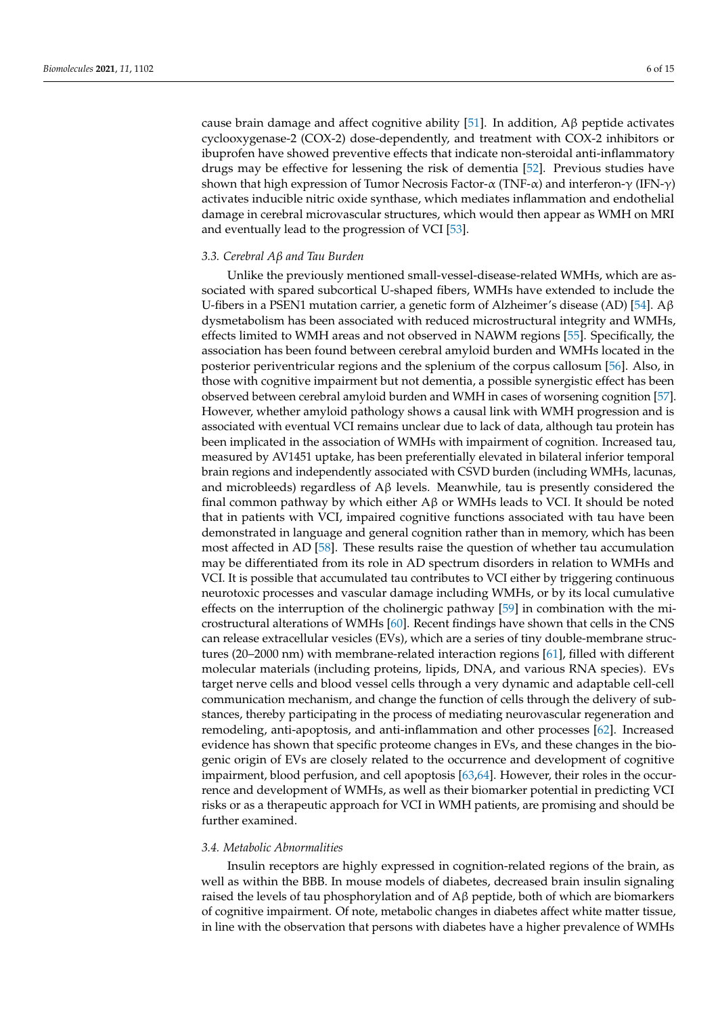cause brain damage and affect cognitive ability [\[51\]](#page-11-11). In addition,  $\mathbf{A}\beta$  peptide activates cyclooxygenase-2 (COX-2) dose-dependently, and treatment with COX-2 inhibitors or ibuprofen have showed preventive effects that indicate non-steroidal anti-inflammatory drugs may be effective for lessening the risk of dementia [\[52\]](#page-11-12). Previous studies have shown that high expression of Tumor Necrosis Factor- $\alpha$  (TNF- $\alpha$ ) and interferon- $\gamma$  (IFN- $\gamma$ ) activates inducible nitric oxide synthase, which mediates inflammation and endothelial damage in cerebral microvascular structures, which would then appear as WMH on MRI and eventually lead to the progression of VCI [\[53\]](#page-11-13).

# *3.3. Cerebral Aβ and Tau Burden*

Unlike the previously mentioned small-vessel-disease-related WMHs, which are associated with spared subcortical U-shaped fibers, WMHs have extended to include the U-fibers in a PSEN1 mutation carrier, a genetic form of Alzheimer's disease (AD) [\[54\]](#page-11-14).  $A\beta$ dysmetabolism has been associated with reduced microstructural integrity and WMHs, effects limited to WMH areas and not observed in NAWM regions [\[55\]](#page-11-15). Specifically, the association has been found between cerebral amyloid burden and WMHs located in the posterior periventricular regions and the splenium of the corpus callosum [\[56\]](#page-11-16). Also, in those with cognitive impairment but not dementia, a possible synergistic effect has been observed between cerebral amyloid burden and WMH in cases of worsening cognition [\[57\]](#page-11-17). However, whether amyloid pathology shows a causal link with WMH progression and is associated with eventual VCI remains unclear due to lack of data, although tau protein has been implicated in the association of WMHs with impairment of cognition. Increased tau, measured by AV1451 uptake, has been preferentially elevated in bilateral inferior temporal brain regions and independently associated with CSVD burden (including WMHs, lacunas, and microbleeds) regardless of  $A\beta$  levels. Meanwhile, tau is presently considered the final common pathway by which either  $A\beta$  or WMHs leads to VCI. It should be noted that in patients with VCI, impaired cognitive functions associated with tau have been demonstrated in language and general cognition rather than in memory, which has been most affected in AD [\[58\]](#page-11-18). These results raise the question of whether tau accumulation may be differentiated from its role in AD spectrum disorders in relation to WMHs and VCI. It is possible that accumulated tau contributes to VCI either by triggering continuous neurotoxic processes and vascular damage including WMHs, or by its local cumulative effects on the interruption of the cholinergic pathway [\[59\]](#page-11-19) in combination with the microstructural alterations of WMHs [\[60\]](#page-11-20). Recent findings have shown that cells in the CNS can release extracellular vesicles (EVs), which are a series of tiny double-membrane structures (20–2000 nm) with membrane-related interaction regions [\[61\]](#page-11-21), filled with different molecular materials (including proteins, lipids, DNA, and various RNA species). EVs target nerve cells and blood vessel cells through a very dynamic and adaptable cell-cell communication mechanism, and change the function of cells through the delivery of substances, thereby participating in the process of mediating neurovascular regeneration and remodeling, anti-apoptosis, and anti-inflammation and other processes [\[62\]](#page-11-22). Increased evidence has shown that specific proteome changes in EVs, and these changes in the biogenic origin of EVs are closely related to the occurrence and development of cognitive impairment, blood perfusion, and cell apoptosis [\[63](#page-12-0)[,64\]](#page-12-1). However, their roles in the occurrence and development of WMHs, as well as their biomarker potential in predicting VCI risks or as a therapeutic approach for VCI in WMH patients, are promising and should be further examined.

#### *3.4. Metabolic Abnormalities*

Insulin receptors are highly expressed in cognition-related regions of the brain, as well as within the BBB. In mouse models of diabetes, decreased brain insulin signaling raised the levels of tau phosphorylation and of  $\mathbf{A}\beta$  peptide, both of which are biomarkers of cognitive impairment. Of note, metabolic changes in diabetes affect white matter tissue, in line with the observation that persons with diabetes have a higher prevalence of WMHs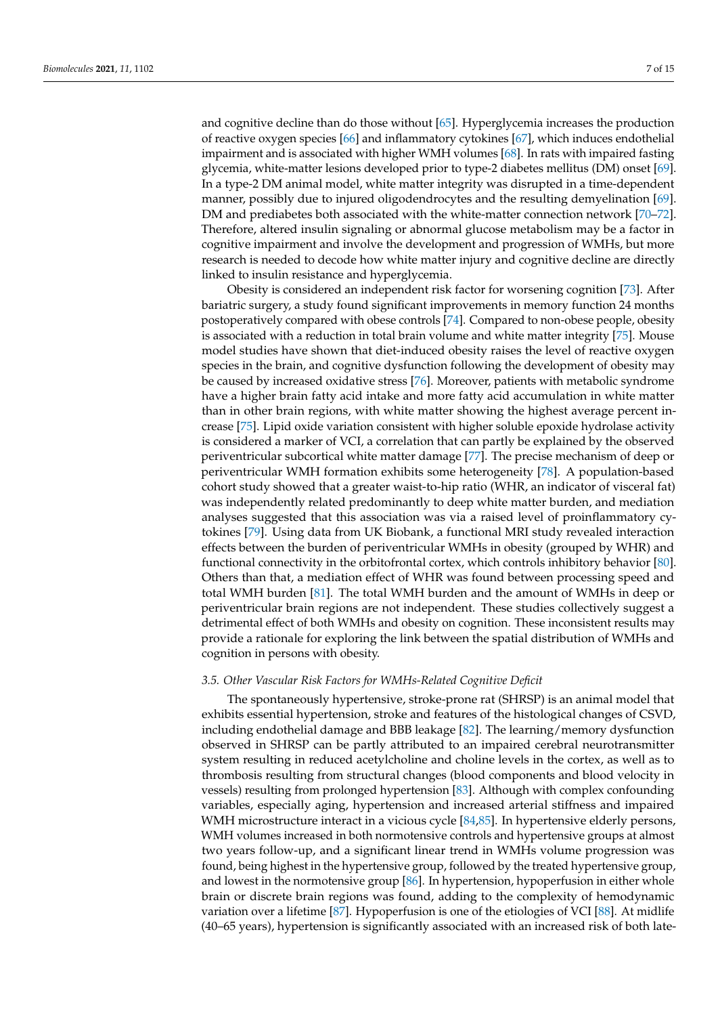and cognitive decline than do those without [\[65\]](#page-12-2). Hyperglycemia increases the production of reactive oxygen species [\[66\]](#page-12-3) and inflammatory cytokines [\[67\]](#page-12-4), which induces endothelial impairment and is associated with higher WMH volumes [\[68\]](#page-12-5). In rats with impaired fasting glycemia, white-matter lesions developed prior to type-2 diabetes mellitus (DM) onset [\[69\]](#page-12-6). In a type-2 DM animal model, white matter integrity was disrupted in a time-dependent manner, possibly due to injured oligodendrocytes and the resulting demyelination [\[69\]](#page-12-6). DM and prediabetes both associated with the white-matter connection network [\[70](#page-12-7)[–72\]](#page-12-8). Therefore, altered insulin signaling or abnormal glucose metabolism may be a factor in cognitive impairment and involve the development and progression of WMHs, but more research is needed to decode how white matter injury and cognitive decline are directly linked to insulin resistance and hyperglycemia.

Obesity is considered an independent risk factor for worsening cognition [\[73\]](#page-12-9). After bariatric surgery, a study found significant improvements in memory function 24 months postoperatively compared with obese controls [\[74\]](#page-12-10). Compared to non-obese people, obesity is associated with a reduction in total brain volume and white matter integrity [\[75\]](#page-12-11). Mouse model studies have shown that diet-induced obesity raises the level of reactive oxygen species in the brain, and cognitive dysfunction following the development of obesity may be caused by increased oxidative stress [\[76\]](#page-12-12). Moreover, patients with metabolic syndrome have a higher brain fatty acid intake and more fatty acid accumulation in white matter than in other brain regions, with white matter showing the highest average percent increase [\[75\]](#page-12-11). Lipid oxide variation consistent with higher soluble epoxide hydrolase activity is considered a marker of VCI, a correlation that can partly be explained by the observed periventricular subcortical white matter damage [\[77\]](#page-12-13). The precise mechanism of deep or periventricular WMH formation exhibits some heterogeneity [\[78\]](#page-12-14). A population-based cohort study showed that a greater waist-to-hip ratio (WHR, an indicator of visceral fat) was independently related predominantly to deep white matter burden, and mediation analyses suggested that this association was via a raised level of proinflammatory cytokines [\[79\]](#page-12-15). Using data from UK Biobank, a functional MRI study revealed interaction effects between the burden of periventricular WMHs in obesity (grouped by WHR) and functional connectivity in the orbitofrontal cortex, which controls inhibitory behavior [\[80\]](#page-12-16). Others than that, a mediation effect of WHR was found between processing speed and total WMH burden [\[81\]](#page-12-17). The total WMH burden and the amount of WMHs in deep or periventricular brain regions are not independent. These studies collectively suggest a detrimental effect of both WMHs and obesity on cognition. These inconsistent results may provide a rationale for exploring the link between the spatial distribution of WMHs and cognition in persons with obesity.

# *3.5. Other Vascular Risk Factors for WMHs-Related Cognitive Deficit*

The spontaneously hypertensive, stroke-prone rat (SHRSP) is an animal model that exhibits essential hypertension, stroke and features of the histological changes of CSVD, including endothelial damage and BBB leakage [\[82\]](#page-12-18). The learning/memory dysfunction observed in SHRSP can be partly attributed to an impaired cerebral neurotransmitter system resulting in reduced acetylcholine and choline levels in the cortex, as well as to thrombosis resulting from structural changes (blood components and blood velocity in vessels) resulting from prolonged hypertension [\[83\]](#page-12-19). Although with complex confounding variables, especially aging, hypertension and increased arterial stiffness and impaired WMH microstructure interact in a vicious cycle [\[84,](#page-12-20)[85\]](#page-12-21). In hypertensive elderly persons, WMH volumes increased in both normotensive controls and hypertensive groups at almost two years follow-up, and a significant linear trend in WMHs volume progression was found, being highest in the hypertensive group, followed by the treated hypertensive group, and lowest in the normotensive group [\[86\]](#page-12-22). In hypertension, hypoperfusion in either whole brain or discrete brain regions was found, adding to the complexity of hemodynamic variation over a lifetime [\[87\]](#page-12-23). Hypoperfusion is one of the etiologies of VCI [\[88\]](#page-12-24). At midlife (40–65 years), hypertension is significantly associated with an increased risk of both late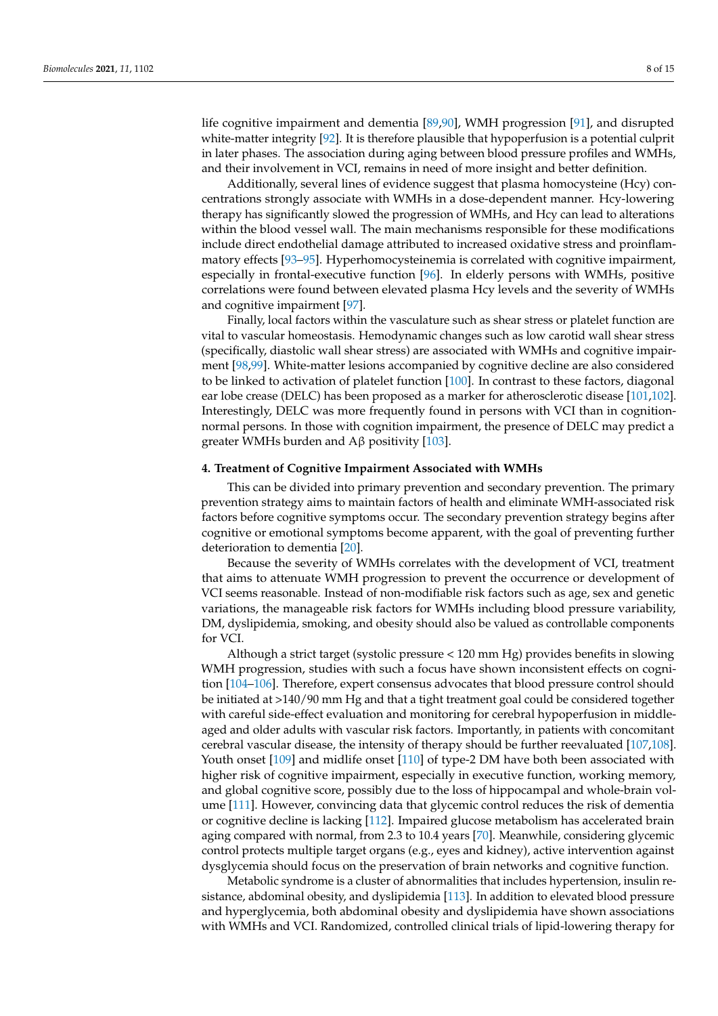life cognitive impairment and dementia [\[89](#page-13-0)[,90\]](#page-13-1), WMH progression [\[91\]](#page-13-2), and disrupted white-matter integrity [\[92\]](#page-13-3). It is therefore plausible that hypoperfusion is a potential culprit in later phases. The association during aging between blood pressure profiles and WMHs, and their involvement in VCI, remains in need of more insight and better definition.

Additionally, several lines of evidence suggest that plasma homocysteine (Hcy) concentrations strongly associate with WMHs in a dose-dependent manner. Hcy-lowering therapy has significantly slowed the progression of WMHs, and Hcy can lead to alterations within the blood vessel wall. The main mechanisms responsible for these modifications include direct endothelial damage attributed to increased oxidative stress and proinflammatory effects [\[93](#page-13-4)[–95\]](#page-13-5). Hyperhomocysteinemia is correlated with cognitive impairment, especially in frontal-executive function [\[96\]](#page-13-6). In elderly persons with WMHs, positive correlations were found between elevated plasma Hcy levels and the severity of WMHs and cognitive impairment [\[97\]](#page-13-7).

Finally, local factors within the vasculature such as shear stress or platelet function are vital to vascular homeostasis. Hemodynamic changes such as low carotid wall shear stress (specifically, diastolic wall shear stress) are associated with WMHs and cognitive impairment [\[98](#page-13-8)[,99\]](#page-13-9). White-matter lesions accompanied by cognitive decline are also considered to be linked to activation of platelet function [\[100\]](#page-13-10). In contrast to these factors, diagonal ear lobe crease (DELC) has been proposed as a marker for atherosclerotic disease [\[101](#page-13-11)[,102\]](#page-13-12). Interestingly, DELC was more frequently found in persons with VCI than in cognitionnormal persons. In those with cognition impairment, the presence of DELC may predict a greater WMHs burden and Aβ positivity [\[103\]](#page-13-13).

## **4. Treatment of Cognitive Impairment Associated with WMHs**

This can be divided into primary prevention and secondary prevention. The primary prevention strategy aims to maintain factors of health and eliminate WMH-associated risk factors before cognitive symptoms occur. The secondary prevention strategy begins after cognitive or emotional symptoms become apparent, with the goal of preventing further deterioration to dementia [\[20\]](#page-10-6).

Because the severity of WMHs correlates with the development of VCI, treatment that aims to attenuate WMH progression to prevent the occurrence or development of VCI seems reasonable. Instead of non-modifiable risk factors such as age, sex and genetic variations, the manageable risk factors for WMHs including blood pressure variability, DM, dyslipidemia, smoking, and obesity should also be valued as controllable components for VCI.

Although a strict target (systolic pressure < 120 mm Hg) provides benefits in slowing WMH progression, studies with such a focus have shown inconsistent effects on cognition [\[104–](#page-13-14)[106\]](#page-13-15). Therefore, expert consensus advocates that blood pressure control should be initiated at >140/90 mm Hg and that a tight treatment goal could be considered together with careful side-effect evaluation and monitoring for cerebral hypoperfusion in middleaged and older adults with vascular risk factors. Importantly, in patients with concomitant cerebral vascular disease, the intensity of therapy should be further reevaluated [\[107](#page-13-16)[,108\]](#page-13-17). Youth onset [\[109\]](#page-13-18) and midlife onset [\[110\]](#page-13-19) of type-2 DM have both been associated with higher risk of cognitive impairment, especially in executive function, working memory, and global cognitive score, possibly due to the loss of hippocampal and whole-brain volume [\[111\]](#page-13-20). However, convincing data that glycemic control reduces the risk of dementia or cognitive decline is lacking [\[112\]](#page-14-0). Impaired glucose metabolism has accelerated brain aging compared with normal, from 2.3 to 10.4 years [\[70\]](#page-12-7). Meanwhile, considering glycemic control protects multiple target organs (e.g., eyes and kidney), active intervention against dysglycemia should focus on the preservation of brain networks and cognitive function.

Metabolic syndrome is a cluster of abnormalities that includes hypertension, insulin resistance, abdominal obesity, and dyslipidemia [\[113\]](#page-14-1). In addition to elevated blood pressure and hyperglycemia, both abdominal obesity and dyslipidemia have shown associations with WMHs and VCI. Randomized, controlled clinical trials of lipid-lowering therapy for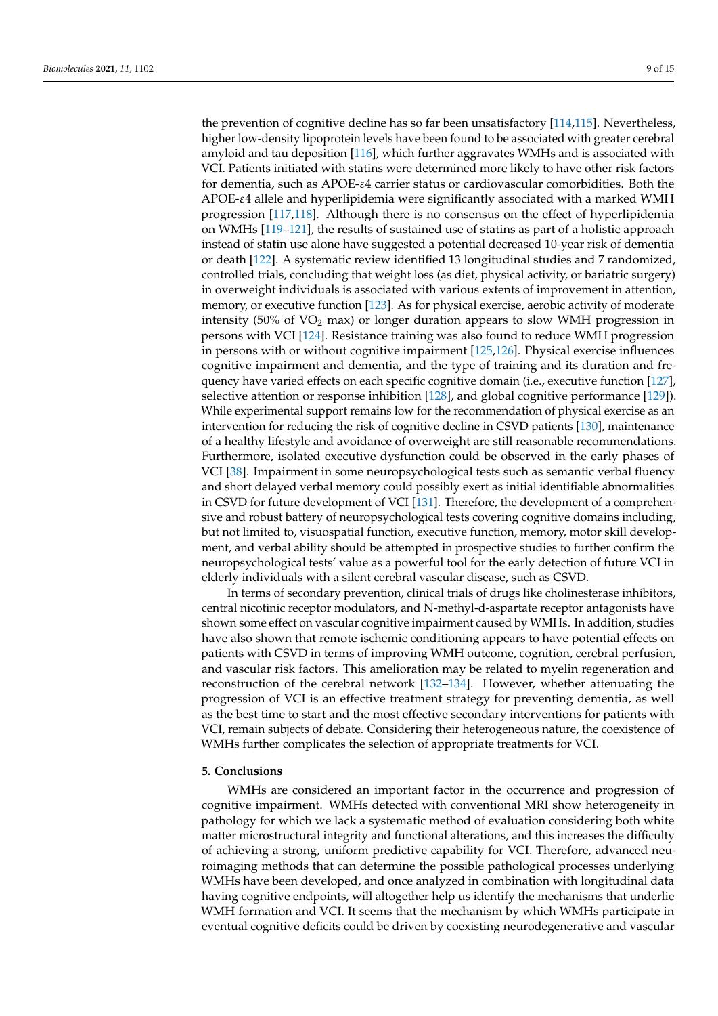the prevention of cognitive decline has so far been unsatisfactory [\[114,](#page-14-2)[115\]](#page-14-3). Nevertheless, higher low-density lipoprotein levels have been found to be associated with greater cerebral amyloid and tau deposition [\[116\]](#page-14-4), which further aggravates WMHs and is associated with VCI. Patients initiated with statins were determined more likely to have other risk factors for dementia, such as APOE-ε4 carrier status or cardiovascular comorbidities. Both the APOE-ε4 allele and hyperlipidemia were significantly associated with a marked WMH progression [\[117](#page-14-5)[,118\]](#page-14-6). Although there is no consensus on the effect of hyperlipidemia on WMHs [\[119–](#page-14-7)[121\]](#page-14-8), the results of sustained use of statins as part of a holistic approach instead of statin use alone have suggested a potential decreased 10-year risk of dementia or death [\[122\]](#page-14-9). A systematic review identified 13 longitudinal studies and 7 randomized, controlled trials, concluding that weight loss (as diet, physical activity, or bariatric surgery) in overweight individuals is associated with various extents of improvement in attention, memory, or executive function [\[123\]](#page-14-10). As for physical exercise, aerobic activity of moderate intensity (50% of  $VO<sub>2</sub>$  max) or longer duration appears to slow WMH progression in persons with VCI [\[124\]](#page-14-11). Resistance training was also found to reduce WMH progression in persons with or without cognitive impairment [\[125](#page-14-12)[,126\]](#page-14-13). Physical exercise influences cognitive impairment and dementia, and the type of training and its duration and frequency have varied effects on each specific cognitive domain (i.e., executive function [\[127\]](#page-14-14), selective attention or response inhibition [\[128\]](#page-14-15), and global cognitive performance [\[129\]](#page-14-16)). While experimental support remains low for the recommendation of physical exercise as an intervention for reducing the risk of cognitive decline in CSVD patients [\[130\]](#page-14-17), maintenance of a healthy lifestyle and avoidance of overweight are still reasonable recommendations. Furthermore, isolated executive dysfunction could be observed in the early phases of VCI [\[38\]](#page-10-24). Impairment in some neuropsychological tests such as semantic verbal fluency and short delayed verbal memory could possibly exert as initial identifiable abnormalities in CSVD for future development of VCI [\[131\]](#page-14-18). Therefore, the development of a comprehensive and robust battery of neuropsychological tests covering cognitive domains including, but not limited to, visuospatial function, executive function, memory, motor skill development, and verbal ability should be attempted in prospective studies to further confirm the neuropsychological tests' value as a powerful tool for the early detection of future VCI in elderly individuals with a silent cerebral vascular disease, such as CSVD.

In terms of secondary prevention, clinical trials of drugs like cholinesterase inhibitors, central nicotinic receptor modulators, and N-methyl-d-aspartate receptor antagonists have shown some effect on vascular cognitive impairment caused by WMHs. In addition, studies have also shown that remote ischemic conditioning appears to have potential effects on patients with CSVD in terms of improving WMH outcome, cognition, cerebral perfusion, and vascular risk factors. This amelioration may be related to myelin regeneration and reconstruction of the cerebral network [\[132–](#page-14-19)[134\]](#page-14-20). However, whether attenuating the progression of VCI is an effective treatment strategy for preventing dementia, as well as the best time to start and the most effective secondary interventions for patients with VCI, remain subjects of debate. Considering their heterogeneous nature, the coexistence of WMHs further complicates the selection of appropriate treatments for VCI.

#### **5. Conclusions**

WMHs are considered an important factor in the occurrence and progression of cognitive impairment. WMHs detected with conventional MRI show heterogeneity in pathology for which we lack a systematic method of evaluation considering both white matter microstructural integrity and functional alterations, and this increases the difficulty of achieving a strong, uniform predictive capability for VCI. Therefore, advanced neuroimaging methods that can determine the possible pathological processes underlying WMHs have been developed, and once analyzed in combination with longitudinal data having cognitive endpoints, will altogether help us identify the mechanisms that underlie WMH formation and VCI. It seems that the mechanism by which WMHs participate in eventual cognitive deficits could be driven by coexisting neurodegenerative and vascular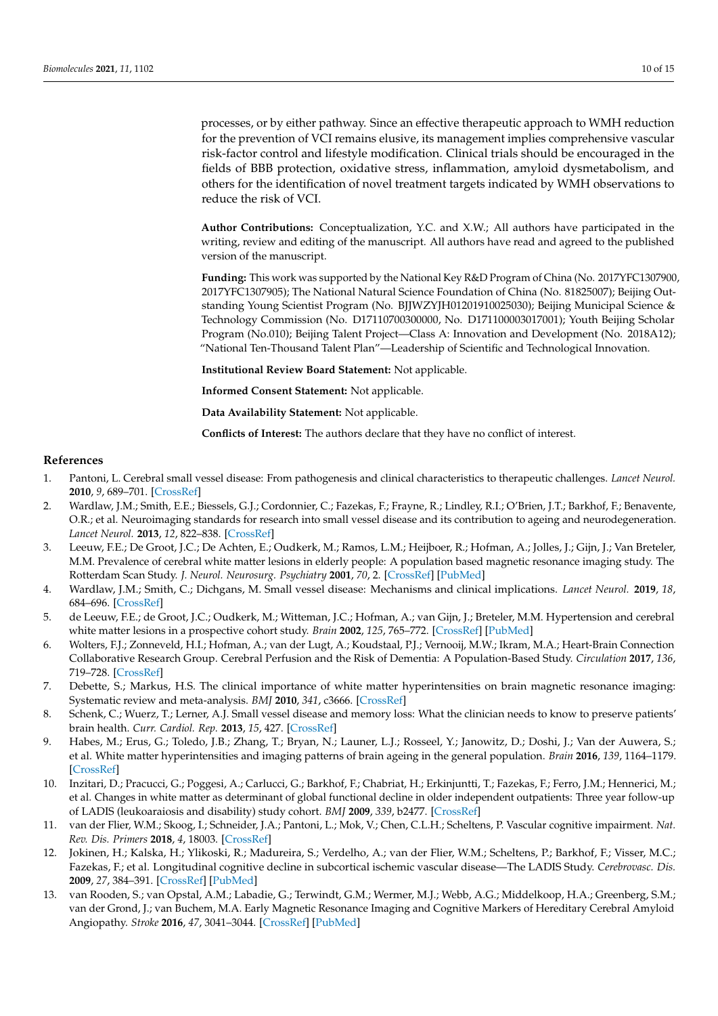processes, or by either pathway. Since an effective therapeutic approach to WMH reduction for the prevention of VCI remains elusive, its management implies comprehensive vascular risk-factor control and lifestyle modification. Clinical trials should be encouraged in the fields of BBB protection, oxidative stress, inflammation, amyloid dysmetabolism, and others for the identification of novel treatment targets indicated by WMH observations to reduce the risk of VCI.

**Author Contributions:** Conceptualization, Y.C. and X.W.; All authors have participated in the writing, review and editing of the manuscript. All authors have read and agreed to the published version of the manuscript.

**Funding:** This work was supported by the National Key R&D Program of China (No. 2017YFC1307900, 2017YFC1307905); The National Natural Science Foundation of China (No. 81825007); Beijing Outstanding Young Scientist Program (No. BJJWZYJH01201910025030); Beijing Municipal Science & Technology Commission (No. D17110700300000, No. D171100003017001); Youth Beijing Scholar Program (No.010); Beijing Talent Project—Class A: Innovation and Development (No. 2018A12); "National Ten-Thousand Talent Plan"—Leadership of Scientific and Technological Innovation.

**Institutional Review Board Statement:** Not applicable.

**Informed Consent Statement:** Not applicable.

**Data Availability Statement:** Not applicable.

**Conflicts of Interest:** The authors declare that they have no conflict of interest.

#### **References**

- <span id="page-9-0"></span>1. Pantoni, L. Cerebral small vessel disease: From pathogenesis and clinical characteristics to therapeutic challenges. *Lancet Neurol.* **2010**, *9*, 689–701. [\[CrossRef\]](http://doi.org/10.1016/S1474-4422(10)70104-6)
- <span id="page-9-1"></span>2. Wardlaw, J.M.; Smith, E.E.; Biessels, G.J.; Cordonnier, C.; Fazekas, F.; Frayne, R.; Lindley, R.I.; O'Brien, J.T.; Barkhof, F.; Benavente, O.R.; et al. Neuroimaging standards for research into small vessel disease and its contribution to ageing and neurodegeneration. *Lancet Neurol.* **2013**, *12*, 822–838. [\[CrossRef\]](http://doi.org/10.1016/S1474-4422(13)70124-8)
- <span id="page-9-2"></span>3. Leeuw, F.E.; De Groot, J.C.; De Achten, E.; Oudkerk, M.; Ramos, L.M.; Heijboer, R.; Hofman, A.; Jolles, J.; Gijn, J.; Van Breteler, M.M. Prevalence of cerebral white matter lesions in elderly people: A population based magnetic resonance imaging study. The Rotterdam Scan Study. *J. Neurol. Neurosurg. Psychiatry* **2001**, *70*, 2. [\[CrossRef\]](http://doi.org/10.1136/jnnp.70.1.9) [\[PubMed\]](http://www.ncbi.nlm.nih.gov/pubmed/11118240)
- <span id="page-9-3"></span>4. Wardlaw, J.M.; Smith, C.; Dichgans, M. Small vessel disease: Mechanisms and clinical implications. *Lancet Neurol.* **2019**, *18*, 684–696. [\[CrossRef\]](http://doi.org/10.1016/S1474-4422(19)30079-1)
- <span id="page-9-4"></span>5. de Leeuw, F.E.; de Groot, J.C.; Oudkerk, M.; Witteman, J.C.; Hofman, A.; van Gijn, J.; Breteler, M.M. Hypertension and cerebral white matter lesions in a prospective cohort study. *Brain* **2002**, *125*, 765–772. [\[CrossRef\]](http://doi.org/10.1093/brain/awf077) [\[PubMed\]](http://www.ncbi.nlm.nih.gov/pubmed/11912110)
- <span id="page-9-5"></span>6. Wolters, F.J.; Zonneveld, H.I.; Hofman, A.; van der Lugt, A.; Koudstaal, P.J.; Vernooij, M.W.; Ikram, M.A.; Heart-Brain Connection Collaborative Research Group. Cerebral Perfusion and the Risk of Dementia: A Population-Based Study. *Circulation* **2017**, *136*, 719–728. [\[CrossRef\]](http://doi.org/10.1161/CIRCULATIONAHA.117.027448)
- <span id="page-9-6"></span>7. Debette, S.; Markus, H.S. The clinical importance of white matter hyperintensities on brain magnetic resonance imaging: Systematic review and meta-analysis. *BMJ* **2010**, *341*, c3666. [\[CrossRef\]](http://doi.org/10.1136/bmj.c3666)
- 8. Schenk, C.; Wuerz, T.; Lerner, A.J. Small vessel disease and memory loss: What the clinician needs to know to preserve patients' brain health. *Curr. Cardiol. Rep.* **2013**, *15*, 427. [\[CrossRef\]](http://doi.org/10.1007/s11886-013-0427-6)
- 9. Habes, M.; Erus, G.; Toledo, J.B.; Zhang, T.; Bryan, N.; Launer, L.J.; Rosseel, Y.; Janowitz, D.; Doshi, J.; Van der Auwera, S.; et al. White matter hyperintensities and imaging patterns of brain ageing in the general population. *Brain* **2016**, *139*, 1164–1179. [\[CrossRef\]](http://doi.org/10.1093/brain/aww008)
- <span id="page-9-7"></span>10. Inzitari, D.; Pracucci, G.; Poggesi, A.; Carlucci, G.; Barkhof, F.; Chabriat, H.; Erkinjuntti, T.; Fazekas, F.; Ferro, J.M.; Hennerici, M.; et al. Changes in white matter as determinant of global functional decline in older independent outpatients: Three year follow-up of LADIS (leukoaraiosis and disability) study cohort. *BMJ* **2009**, *339*, b2477. [\[CrossRef\]](http://doi.org/10.1136/bmj.b2477)
- <span id="page-9-8"></span>11. van der Flier, W.M.; Skoog, I.; Schneider, J.A.; Pantoni, L.; Mok, V.; Chen, C.L.H.; Scheltens, P. Vascular cognitive impairment. *Nat. Rev. Dis. Primers* **2018**, *4*, 18003. [\[CrossRef\]](http://doi.org/10.1038/nrdp.2018.3)
- <span id="page-9-9"></span>12. Jokinen, H.; Kalska, H.; Ylikoski, R.; Madureira, S.; Verdelho, A.; van der Flier, W.M.; Scheltens, P.; Barkhof, F.; Visser, M.C.; Fazekas, F.; et al. Longitudinal cognitive decline in subcortical ischemic vascular disease—The LADIS Study. *Cerebrovasc. Dis.* **2009**, *27*, 384–391. [\[CrossRef\]](http://doi.org/10.1159/000207442) [\[PubMed\]](http://www.ncbi.nlm.nih.gov/pubmed/19276621)
- <span id="page-9-10"></span>13. van Rooden, S.; van Opstal, A.M.; Labadie, G.; Terwindt, G.M.; Wermer, M.J.; Webb, A.G.; Middelkoop, H.A.; Greenberg, S.M.; van der Grond, J.; van Buchem, M.A. Early Magnetic Resonance Imaging and Cognitive Markers of Hereditary Cerebral Amyloid Angiopathy. *Stroke* **2016**, *47*, 3041–3044. [\[CrossRef\]](http://doi.org/10.1161/STROKEAHA.116.014418) [\[PubMed\]](http://www.ncbi.nlm.nih.gov/pubmed/27834748)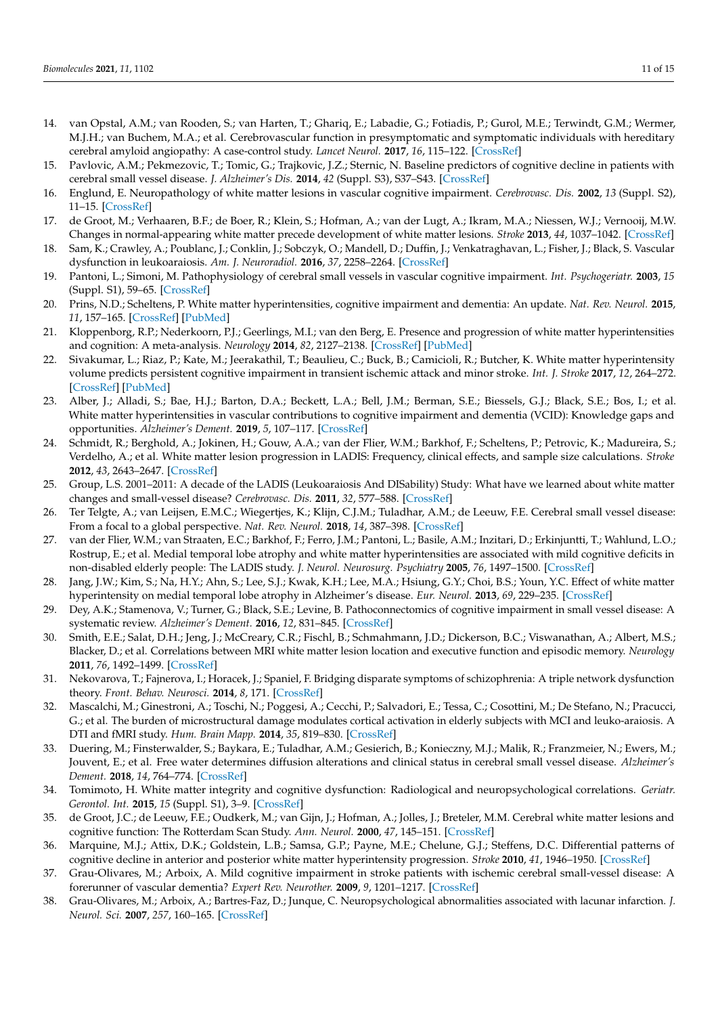- <span id="page-10-0"></span>14. van Opstal, A.M.; van Rooden, S.; van Harten, T.; Ghariq, E.; Labadie, G.; Fotiadis, P.; Gurol, M.E.; Terwindt, G.M.; Wermer, M.J.H.; van Buchem, M.A.; et al. Cerebrovascular function in presymptomatic and symptomatic individuals with hereditary cerebral amyloid angiopathy: A case-control study. *Lancet Neurol.* **2017**, *16*, 115–122. [\[CrossRef\]](http://doi.org/10.1016/S1474-4422(16)30346-5)
- <span id="page-10-1"></span>15. Pavlovic, A.M.; Pekmezovic, T.; Tomic, G.; Trajkovic, J.Z.; Sternic, N. Baseline predictors of cognitive decline in patients with cerebral small vessel disease. *J. Alzheimer's Dis.* **2014**, *42* (Suppl. S3), S37–S43. [\[CrossRef\]](http://doi.org/10.3233/JAD-132606)
- <span id="page-10-2"></span>16. Englund, E. Neuropathology of white matter lesions in vascular cognitive impairment. *Cerebrovasc. Dis.* **2002**, *13* (Suppl. S2), 11–15. [\[CrossRef\]](http://doi.org/10.1159/000049144)
- <span id="page-10-3"></span>17. de Groot, M.; Verhaaren, B.F.; de Boer, R.; Klein, S.; Hofman, A.; van der Lugt, A.; Ikram, M.A.; Niessen, W.J.; Vernooij, M.W. Changes in normal-appearing white matter precede development of white matter lesions. *Stroke* **2013**, *44*, 1037–1042. [\[CrossRef\]](http://doi.org/10.1161/STROKEAHA.112.680223)
- <span id="page-10-4"></span>18. Sam, K.; Crawley, A.; Poublanc, J.; Conklin, J.; Sobczyk, O.; Mandell, D.; Duffin, J.; Venkatraghavan, L.; Fisher, J.; Black, S. Vascular dysfunction in leukoaraiosis. *Am. J. Neuroradiol.* **2016**, *37*, 2258–2264. [\[CrossRef\]](http://doi.org/10.3174/ajnr.A4888)
- <span id="page-10-5"></span>19. Pantoni, L.; Simoni, M. Pathophysiology of cerebral small vessels in vascular cognitive impairment. *Int. Psychogeriatr.* **2003**, *15* (Suppl. S1), 59–65. [\[CrossRef\]](http://doi.org/10.1017/S1041610203008974)
- <span id="page-10-6"></span>20. Prins, N.D.; Scheltens, P. White matter hyperintensities, cognitive impairment and dementia: An update. *Nat. Rev. Neurol.* **2015**, *11*, 157–165. [\[CrossRef\]](http://doi.org/10.1038/nrneurol.2015.10) [\[PubMed\]](http://www.ncbi.nlm.nih.gov/pubmed/25686760)
- <span id="page-10-7"></span>21. Kloppenborg, R.P.; Nederkoorn, P.J.; Geerlings, M.I.; van den Berg, E. Presence and progression of white matter hyperintensities and cognition: A meta-analysis. *Neurology* **2014**, *82*, 2127–2138. [\[CrossRef\]](http://doi.org/10.1212/WNL.0000000000000505) [\[PubMed\]](http://www.ncbi.nlm.nih.gov/pubmed/24814849)
- <span id="page-10-8"></span>22. Sivakumar, L.; Riaz, P.; Kate, M.; Jeerakathil, T.; Beaulieu, C.; Buck, B.; Camicioli, R.; Butcher, K. White matter hyperintensity volume predicts persistent cognitive impairment in transient ischemic attack and minor stroke. *Int. J. Stroke* **2017**, *12*, 264–272. [\[CrossRef\]](http://doi.org/10.1177/1747493016676612) [\[PubMed\]](http://www.ncbi.nlm.nih.gov/pubmed/27784823)
- <span id="page-10-9"></span>23. Alber, J.; Alladi, S.; Bae, H.J.; Barton, D.A.; Beckett, L.A.; Bell, J.M.; Berman, S.E.; Biessels, G.J.; Black, S.E.; Bos, I.; et al. White matter hyperintensities in vascular contributions to cognitive impairment and dementia (VCID): Knowledge gaps and opportunities. *Alzheimer's Dement.* **2019**, *5*, 107–117. [\[CrossRef\]](http://doi.org/10.1016/j.trci.2019.02.001)
- <span id="page-10-10"></span>24. Schmidt, R.; Berghold, A.; Jokinen, H.; Gouw, A.A.; van der Flier, W.M.; Barkhof, F.; Scheltens, P.; Petrovic, K.; Madureira, S.; Verdelho, A.; et al. White matter lesion progression in LADIS: Frequency, clinical effects, and sample size calculations. *Stroke* **2012**, *43*, 2643–2647. [\[CrossRef\]](http://doi.org/10.1161/STROKEAHA.112.662593)
- <span id="page-10-11"></span>25. Group, L.S. 2001–2011: A decade of the LADIS (Leukoaraiosis And DISability) Study: What have we learned about white matter changes and small-vessel disease? *Cerebrovasc. Dis.* **2011**, *32*, 577–588. [\[CrossRef\]](http://doi.org/10.1159/000334498)
- <span id="page-10-12"></span>26. Ter Telgte, A.; van Leijsen, E.M.C.; Wiegertjes, K.; Klijn, C.J.M.; Tuladhar, A.M.; de Leeuw, F.E. Cerebral small vessel disease: From a focal to a global perspective. *Nat. Rev. Neurol.* **2018**, *14*, 387–398. [\[CrossRef\]](http://doi.org/10.1038/s41582-018-0014-y)
- <span id="page-10-13"></span>27. van der Flier, W.M.; van Straaten, E.C.; Barkhof, F.; Ferro, J.M.; Pantoni, L.; Basile, A.M.; Inzitari, D.; Erkinjuntti, T.; Wahlund, L.O.; Rostrup, E.; et al. Medial temporal lobe atrophy and white matter hyperintensities are associated with mild cognitive deficits in non-disabled elderly people: The LADIS study. *J. Neurol. Neurosurg. Psychiatry* **2005**, *76*, 1497–1500. [\[CrossRef\]](http://doi.org/10.1136/jnnp.2005.064998)
- <span id="page-10-14"></span>28. Jang, J.W.; Kim, S.; Na, H.Y.; Ahn, S.; Lee, S.J.; Kwak, K.H.; Lee, M.A.; Hsiung, G.Y.; Choi, B.S.; Youn, Y.C. Effect of white matter hyperintensity on medial temporal lobe atrophy in Alzheimer's disease. *Eur. Neurol.* **2013**, *69*, 229–235. [\[CrossRef\]](http://doi.org/10.1159/000345999)
- <span id="page-10-15"></span>29. Dey, A.K.; Stamenova, V.; Turner, G.; Black, S.E.; Levine, B. Pathoconnectomics of cognitive impairment in small vessel disease: A systematic review. *Alzheimer's Dement.* **2016**, *12*, 831–845. [\[CrossRef\]](http://doi.org/10.1016/j.jalz.2016.01.007)
- <span id="page-10-16"></span>30. Smith, E.E.; Salat, D.H.; Jeng, J.; McCreary, C.R.; Fischl, B.; Schmahmann, J.D.; Dickerson, B.C.; Viswanathan, A.; Albert, M.S.; Blacker, D.; et al. Correlations between MRI white matter lesion location and executive function and episodic memory. *Neurology* **2011**, *76*, 1492–1499. [\[CrossRef\]](http://doi.org/10.1212/WNL.0b013e318217e7c8)
- <span id="page-10-17"></span>31. Nekovarova, T.; Fajnerova, I.; Horacek, J.; Spaniel, F. Bridging disparate symptoms of schizophrenia: A triple network dysfunction theory. *Front. Behav. Neurosci.* **2014**, *8*, 171. [\[CrossRef\]](http://doi.org/10.3389/fnbeh.2014.00171)
- <span id="page-10-18"></span>32. Mascalchi, M.; Ginestroni, A.; Toschi, N.; Poggesi, A.; Cecchi, P.; Salvadori, E.; Tessa, C.; Cosottini, M.; De Stefano, N.; Pracucci, G.; et al. The burden of microstructural damage modulates cortical activation in elderly subjects with MCI and leuko-araiosis. A DTI and fMRI study. *Hum. Brain Mapp.* **2014**, *35*, 819–830. [\[CrossRef\]](http://doi.org/10.1002/hbm.22216)
- <span id="page-10-19"></span>33. Duering, M.; Finsterwalder, S.; Baykara, E.; Tuladhar, A.M.; Gesierich, B.; Konieczny, M.J.; Malik, R.; Franzmeier, N.; Ewers, M.; Jouvent, E.; et al. Free water determines diffusion alterations and clinical status in cerebral small vessel disease. *Alzheimer's Dement.* **2018**, *14*, 764–774. [\[CrossRef\]](http://doi.org/10.1016/j.jalz.2017.12.007)
- <span id="page-10-20"></span>34. Tomimoto, H. White matter integrity and cognitive dysfunction: Radiological and neuropsychological correlations. *Geriatr. Gerontol. Int.* **2015**, *15* (Suppl. S1), 3–9. [\[CrossRef\]](http://doi.org/10.1111/ggi.12661)
- <span id="page-10-21"></span>35. de Groot, J.C.; de Leeuw, F.E.; Oudkerk, M.; van Gijn, J.; Hofman, A.; Jolles, J.; Breteler, M.M. Cerebral white matter lesions and cognitive function: The Rotterdam Scan Study. *Ann. Neurol.* **2000**, *47*, 145–151. [\[CrossRef\]](http://doi.org/10.1002/1531-8249(200002)47:2<145::AID-ANA3>3.0.CO;2-P)
- <span id="page-10-22"></span>36. Marquine, M.J.; Attix, D.K.; Goldstein, L.B.; Samsa, G.P.; Payne, M.E.; Chelune, G.J.; Steffens, D.C. Differential patterns of cognitive decline in anterior and posterior white matter hyperintensity progression. *Stroke* **2010**, *41*, 1946–1950. [\[CrossRef\]](http://doi.org/10.1161/STROKEAHA.110.587717)
- <span id="page-10-23"></span>37. Grau-Olivares, M.; Arboix, A. Mild cognitive impairment in stroke patients with ischemic cerebral small-vessel disease: A forerunner of vascular dementia? *Expert Rev. Neurother.* **2009**, *9*, 1201–1217. [\[CrossRef\]](http://doi.org/10.1586/ern.09.73)
- <span id="page-10-24"></span>38. Grau-Olivares, M.; Arboix, A.; Bartres-Faz, D.; Junque, C. Neuropsychological abnormalities associated with lacunar infarction. *J. Neurol. Sci.* **2007**, *257*, 160–165. [\[CrossRef\]](http://doi.org/10.1016/j.jns.2007.01.022)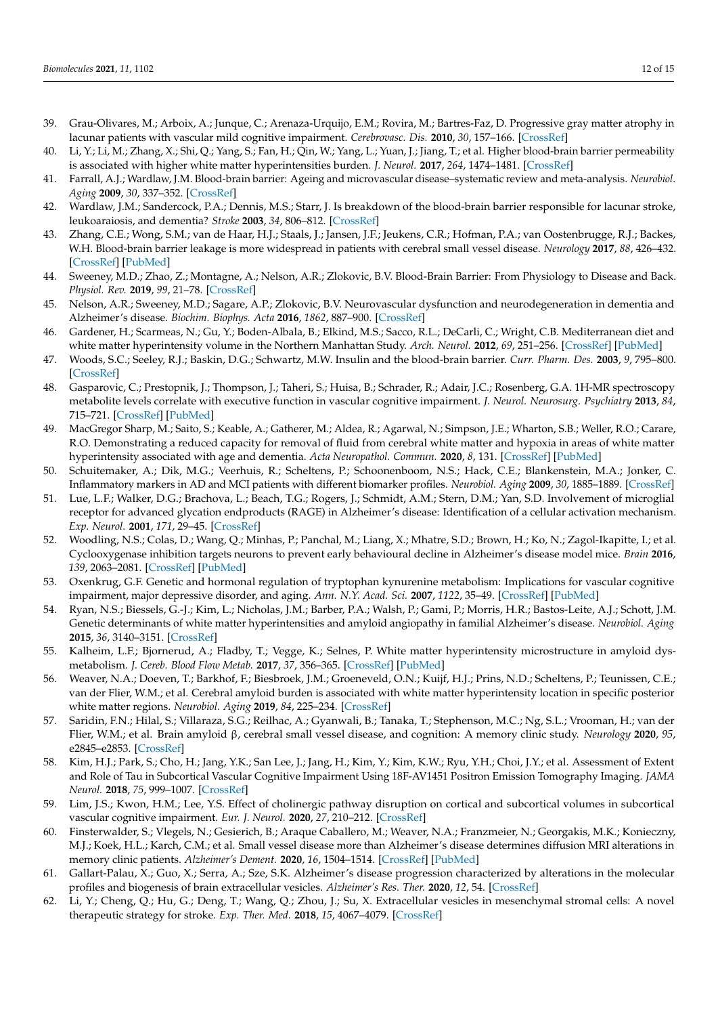- <span id="page-11-0"></span>39. Grau-Olivares, M.; Arboix, A.; Junque, C.; Arenaza-Urquijo, E.M.; Rovira, M.; Bartres-Faz, D. Progressive gray matter atrophy in lacunar patients with vascular mild cognitive impairment. *Cerebrovasc. Dis.* **2010**, *30*, 157–166. [\[CrossRef\]](http://doi.org/10.1159/000316059)
- <span id="page-11-1"></span>40. Li, Y.; Li, M.; Zhang, X.; Shi, Q.; Yang, S.; Fan, H.; Qin, W.; Yang, L.; Yuan, J.; Jiang, T.; et al. Higher blood-brain barrier permeability is associated with higher white matter hyperintensities burden. *J. Neurol.* **2017**, *264*, 1474–1481. [\[CrossRef\]](http://doi.org/10.1007/s00415-017-8550-8)
- <span id="page-11-2"></span>41. Farrall, A.J.; Wardlaw, J.M. Blood-brain barrier: Ageing and microvascular disease–systematic review and meta-analysis. *Neurobiol. Aging* **2009**, *30*, 337–352. [\[CrossRef\]](http://doi.org/10.1016/j.neurobiolaging.2007.07.015)
- 42. Wardlaw, J.M.; Sandercock, P.A.; Dennis, M.S.; Starr, J. Is breakdown of the blood-brain barrier responsible for lacunar stroke, leukoaraiosis, and dementia? *Stroke* **2003**, *34*, 806–812. [\[CrossRef\]](http://doi.org/10.1161/01.STR.0000058480.77236.B3)
- <span id="page-11-3"></span>43. Zhang, C.E.; Wong, S.M.; van de Haar, H.J.; Staals, J.; Jansen, J.F.; Jeukens, C.R.; Hofman, P.A.; van Oostenbrugge, R.J.; Backes, W.H. Blood-brain barrier leakage is more widespread in patients with cerebral small vessel disease. *Neurology* **2017**, *88*, 426–432. [\[CrossRef\]](http://doi.org/10.1212/WNL.0000000000003556) [\[PubMed\]](http://www.ncbi.nlm.nih.gov/pubmed/28031395)
- <span id="page-11-4"></span>44. Sweeney, M.D.; Zhao, Z.; Montagne, A.; Nelson, A.R.; Zlokovic, B.V. Blood-Brain Barrier: From Physiology to Disease and Back. *Physiol. Rev.* **2019**, *99*, 21–78. [\[CrossRef\]](http://doi.org/10.1152/physrev.00050.2017)
- <span id="page-11-5"></span>45. Nelson, A.R.; Sweeney, M.D.; Sagare, A.P.; Zlokovic, B.V. Neurovascular dysfunction and neurodegeneration in dementia and Alzheimer's disease. *Biochim. Biophys. Acta* **2016**, *1862*, 887–900. [\[CrossRef\]](http://doi.org/10.1016/j.bbadis.2015.12.016)
- <span id="page-11-6"></span>46. Gardener, H.; Scarmeas, N.; Gu, Y.; Boden-Albala, B.; Elkind, M.S.; Sacco, R.L.; DeCarli, C.; Wright, C.B. Mediterranean diet and white matter hyperintensity volume in the Northern Manhattan Study. *Arch. Neurol.* **2012**, *69*, 251–256. [\[CrossRef\]](http://doi.org/10.1001/archneurol.2011.548) [\[PubMed\]](http://www.ncbi.nlm.nih.gov/pubmed/22332193)
- <span id="page-11-7"></span>47. Woods, S.C.; Seeley, R.J.; Baskin, D.G.; Schwartz, M.W. Insulin and the blood-brain barrier. *Curr. Pharm. Des.* **2003**, *9*, 795–800. [\[CrossRef\]](http://doi.org/10.2174/1381612033455323)
- <span id="page-11-8"></span>48. Gasparovic, C.; Prestopnik, J.; Thompson, J.; Taheri, S.; Huisa, B.; Schrader, R.; Adair, J.C.; Rosenberg, G.A. 1H-MR spectroscopy metabolite levels correlate with executive function in vascular cognitive impairment. *J. Neurol. Neurosurg. Psychiatry* **2013**, *84*, 715–721. [\[CrossRef\]](http://doi.org/10.1136/jnnp-2012-303878) [\[PubMed\]](http://www.ncbi.nlm.nih.gov/pubmed/23418212)
- <span id="page-11-9"></span>49. MacGregor Sharp, M.; Saito, S.; Keable, A.; Gatherer, M.; Aldea, R.; Agarwal, N.; Simpson, J.E.; Wharton, S.B.; Weller, R.O.; Carare, R.O. Demonstrating a reduced capacity for removal of fluid from cerebral white matter and hypoxia in areas of white matter hyperintensity associated with age and dementia. *Acta Neuropathol. Commun.* **2020**, *8*, 131. [\[CrossRef\]](http://doi.org/10.1186/s40478-020-01009-1) [\[PubMed\]](http://www.ncbi.nlm.nih.gov/pubmed/32771063)
- <span id="page-11-10"></span>50. Schuitemaker, A.; Dik, M.G.; Veerhuis, R.; Scheltens, P.; Schoonenboom, N.S.; Hack, C.E.; Blankenstein, M.A.; Jonker, C. Inflammatory markers in AD and MCI patients with different biomarker profiles. *Neurobiol. Aging* **2009**, *30*, 1885–1889. [\[CrossRef\]](http://doi.org/10.1016/j.neurobiolaging.2008.01.014)
- <span id="page-11-11"></span>51. Lue, L.F.; Walker, D.G.; Brachova, L.; Beach, T.G.; Rogers, J.; Schmidt, A.M.; Stern, D.M.; Yan, S.D. Involvement of microglial receptor for advanced glycation endproducts (RAGE) in Alzheimer's disease: Identification of a cellular activation mechanism. *Exp. Neurol.* **2001**, *171*, 29–45. [\[CrossRef\]](http://doi.org/10.1006/exnr.2001.7732)
- <span id="page-11-12"></span>52. Woodling, N.S.; Colas, D.; Wang, Q.; Minhas, P.; Panchal, M.; Liang, X.; Mhatre, S.D.; Brown, H.; Ko, N.; Zagol-Ikapitte, I.; et al. Cyclooxygenase inhibition targets neurons to prevent early behavioural decline in Alzheimer's disease model mice. *Brain* **2016**, *139*, 2063–2081. [\[CrossRef\]](http://doi.org/10.1093/brain/aww117) [\[PubMed\]](http://www.ncbi.nlm.nih.gov/pubmed/27190010)
- <span id="page-11-13"></span>53. Oxenkrug, G.F. Genetic and hormonal regulation of tryptophan kynurenine metabolism: Implications for vascular cognitive impairment, major depressive disorder, and aging. *Ann. N.Y. Acad. Sci.* **2007**, *1122*, 35–49. [\[CrossRef\]](http://doi.org/10.1196/annals.1403.003) [\[PubMed\]](http://www.ncbi.nlm.nih.gov/pubmed/18077563)
- <span id="page-11-14"></span>54. Ryan, N.S.; Biessels, G.-J.; Kim, L.; Nicholas, J.M.; Barber, P.A.; Walsh, P.; Gami, P.; Morris, H.R.; Bastos-Leite, A.J.; Schott, J.M. Genetic determinants of white matter hyperintensities and amyloid angiopathy in familial Alzheimer's disease. *Neurobiol. Aging* **2015**, *36*, 3140–3151. [\[CrossRef\]](http://doi.org/10.1016/j.neurobiolaging.2015.08.026)
- <span id="page-11-15"></span>55. Kalheim, L.F.; Bjornerud, A.; Fladby, T.; Vegge, K.; Selnes, P. White matter hyperintensity microstructure in amyloid dysmetabolism. *J. Cereb. Blood Flow Metab.* **2017**, *37*, 356–365. [\[CrossRef\]](http://doi.org/10.1177/0271678X15627465) [\[PubMed\]](http://www.ncbi.nlm.nih.gov/pubmed/26792028)
- <span id="page-11-16"></span>56. Weaver, N.A.; Doeven, T.; Barkhof, F.; Biesbroek, J.M.; Groeneveld, O.N.; Kuijf, H.J.; Prins, N.D.; Scheltens, P.; Teunissen, C.E.; van der Flier, W.M.; et al. Cerebral amyloid burden is associated with white matter hyperintensity location in specific posterior white matter regions. *Neurobiol. Aging* **2019**, *84*, 225–234. [\[CrossRef\]](http://doi.org/10.1016/j.neurobiolaging.2019.08.001)
- <span id="page-11-17"></span>57. Saridin, F.N.; Hilal, S.; Villaraza, S.G.; Reilhac, A.; Gyanwali, B.; Tanaka, T.; Stephenson, M.C.; Ng, S.L.; Vrooman, H.; van der Flier, W.M.; et al. Brain amyloid β, cerebral small vessel disease, and cognition: A memory clinic study. *Neurology* **2020**, *95*, e2845–e2853. [\[CrossRef\]](http://doi.org/10.1212/WNL.0000000000011029)
- <span id="page-11-18"></span>58. Kim, H.J.; Park, S.; Cho, H.; Jang, Y.K.; San Lee, J.; Jang, H.; Kim, Y.; Kim, K.W.; Ryu, Y.H.; Choi, J.Y.; et al. Assessment of Extent and Role of Tau in Subcortical Vascular Cognitive Impairment Using 18F-AV1451 Positron Emission Tomography Imaging. *JAMA Neurol.* **2018**, *75*, 999–1007. [\[CrossRef\]](http://doi.org/10.1001/jamaneurol.2018.0975)
- <span id="page-11-19"></span>59. Lim, J.S.; Kwon, H.M.; Lee, Y.S. Effect of cholinergic pathway disruption on cortical and subcortical volumes in subcortical vascular cognitive impairment. *Eur. J. Neurol.* **2020**, *27*, 210–212. [\[CrossRef\]](http://doi.org/10.1111/ene.14073)
- <span id="page-11-20"></span>60. Finsterwalder, S.; Vlegels, N.; Gesierich, B.; Araque Caballero, M.; Weaver, N.A.; Franzmeier, N.; Georgakis, M.K.; Konieczny, M.J.; Koek, H.L.; Karch, C.M.; et al. Small vessel disease more than Alzheimer's disease determines diffusion MRI alterations in memory clinic patients. *Alzheimer's Dement.* **2020**, *16*, 1504–1514. [\[CrossRef\]](http://doi.org/10.1002/alz.12150) [\[PubMed\]](http://www.ncbi.nlm.nih.gov/pubmed/32808747)
- <span id="page-11-21"></span>61. Gallart-Palau, X.; Guo, X.; Serra, A.; Sze, S.K. Alzheimer's disease progression characterized by alterations in the molecular profiles and biogenesis of brain extracellular vesicles. *Alzheimer's Res. Ther.* **2020**, *12*, 54. [\[CrossRef\]](http://doi.org/10.1186/s13195-020-00623-4)
- <span id="page-11-22"></span>62. Li, Y.; Cheng, Q.; Hu, G.; Deng, T.; Wang, Q.; Zhou, J.; Su, X. Extracellular vesicles in mesenchymal stromal cells: A novel therapeutic strategy for stroke. *Exp. Ther. Med.* **2018**, *15*, 4067–4079. [\[CrossRef\]](http://doi.org/10.3892/etm.2018.5993)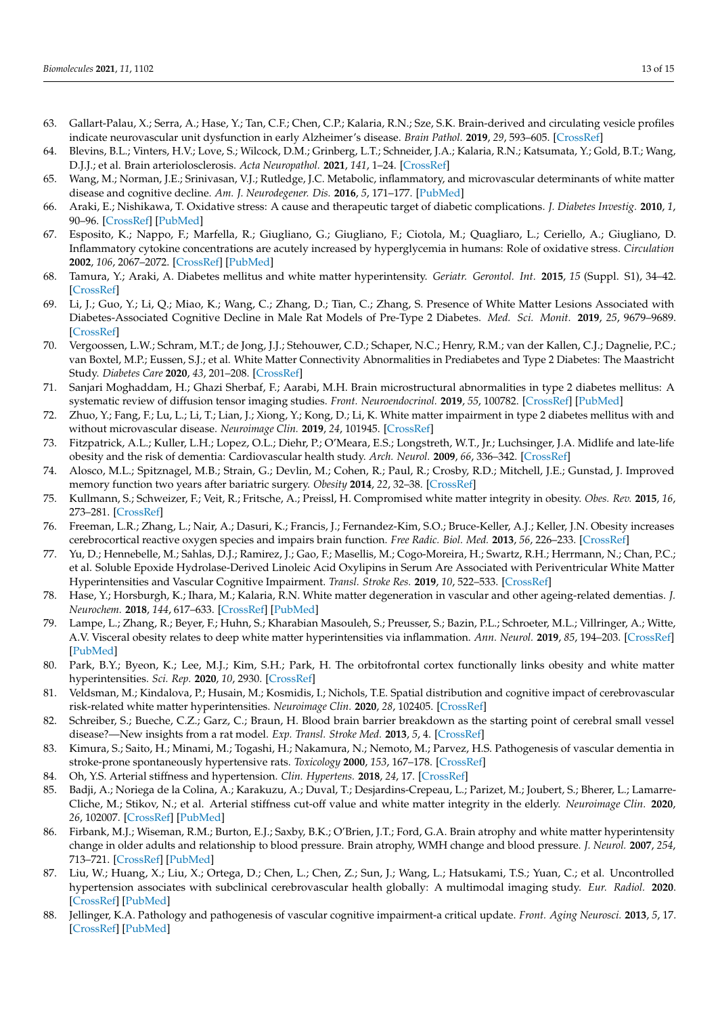- <span id="page-12-0"></span>63. Gallart-Palau, X.; Serra, A.; Hase, Y.; Tan, C.F.; Chen, C.P.; Kalaria, R.N.; Sze, S.K. Brain-derived and circulating vesicle profiles indicate neurovascular unit dysfunction in early Alzheimer's disease. *Brain Pathol.* **2019**, *29*, 593–605. [\[CrossRef\]](http://doi.org/10.1111/bpa.12699)
- <span id="page-12-1"></span>64. Blevins, B.L.; Vinters, H.V.; Love, S.; Wilcock, D.M.; Grinberg, L.T.; Schneider, J.A.; Kalaria, R.N.; Katsumata, Y.; Gold, B.T.; Wang, D.J.J.; et al. Brain arteriolosclerosis. *Acta Neuropathol.* **2021**, *141*, 1–24. [\[CrossRef\]](http://doi.org/10.1007/s00401-020-02235-6)
- <span id="page-12-2"></span>65. Wang, M.; Norman, J.E.; Srinivasan, V.J.; Rutledge, J.C. Metabolic, inflammatory, and microvascular determinants of white matter disease and cognitive decline. *Am. J. Neurodegener. Dis.* **2016**, *5*, 171–177. [\[PubMed\]](http://www.ncbi.nlm.nih.gov/pubmed/28078193)
- <span id="page-12-3"></span>66. Araki, E.; Nishikawa, T. Oxidative stress: A cause and therapeutic target of diabetic complications. *J. Diabetes Investig.* **2010**, *1*, 90–96. [\[CrossRef\]](http://doi.org/10.1111/j.2040-1124.2010.00013.x) [\[PubMed\]](http://www.ncbi.nlm.nih.gov/pubmed/24843413)
- <span id="page-12-4"></span>67. Esposito, K.; Nappo, F.; Marfella, R.; Giugliano, G.; Giugliano, F.; Ciotola, M.; Quagliaro, L.; Ceriello, A.; Giugliano, D. Inflammatory cytokine concentrations are acutely increased by hyperglycemia in humans: Role of oxidative stress. *Circulation* **2002**, *106*, 2067–2072. [\[CrossRef\]](http://doi.org/10.1161/01.CIR.0000034509.14906.AE) [\[PubMed\]](http://www.ncbi.nlm.nih.gov/pubmed/12379575)
- <span id="page-12-5"></span>68. Tamura, Y.; Araki, A. Diabetes mellitus and white matter hyperintensity. *Geriatr. Gerontol. Int.* **2015**, *15* (Suppl. S1), 34–42. [\[CrossRef\]](http://doi.org/10.1111/ggi.12666)
- <span id="page-12-6"></span>69. Li, J.; Guo, Y.; Li, Q.; Miao, K.; Wang, C.; Zhang, D.; Tian, C.; Zhang, S. Presence of White Matter Lesions Associated with Diabetes-Associated Cognitive Decline in Male Rat Models of Pre-Type 2 Diabetes. *Med. Sci. Monit.* **2019**, *25*, 9679–9689. [\[CrossRef\]](http://doi.org/10.12659/MSM.918557)
- <span id="page-12-7"></span>70. Vergoossen, L.W.; Schram, M.T.; de Jong, J.J.; Stehouwer, C.D.; Schaper, N.C.; Henry, R.M.; van der Kallen, C.J.; Dagnelie, P.C.; van Boxtel, M.P.; Eussen, S.J.; et al. White Matter Connectivity Abnormalities in Prediabetes and Type 2 Diabetes: The Maastricht Study. *Diabetes Care* **2020**, *43*, 201–208. [\[CrossRef\]](http://doi.org/10.2337/dc19-0762)
- 71. Sanjari Moghaddam, H.; Ghazi Sherbaf, F.; Aarabi, M.H. Brain microstructural abnormalities in type 2 diabetes mellitus: A systematic review of diffusion tensor imaging studies. *Front. Neuroendocrinol.* **2019**, *55*, 100782. [\[CrossRef\]](http://doi.org/10.1016/j.yfrne.2019.100782) [\[PubMed\]](http://www.ncbi.nlm.nih.gov/pubmed/31401292)
- <span id="page-12-8"></span>72. Zhuo, Y.; Fang, F.; Lu, L.; Li, T.; Lian, J.; Xiong, Y.; Kong, D.; Li, K. White matter impairment in type 2 diabetes mellitus with and without microvascular disease. *Neuroimage Clin.* **2019**, *24*, 101945. [\[CrossRef\]](http://doi.org/10.1016/j.nicl.2019.101945)
- <span id="page-12-9"></span>73. Fitzpatrick, A.L.; Kuller, L.H.; Lopez, O.L.; Diehr, P.; O'Meara, E.S.; Longstreth, W.T., Jr.; Luchsinger, J.A. Midlife and late-life obesity and the risk of dementia: Cardiovascular health study. *Arch. Neurol.* **2009**, *66*, 336–342. [\[CrossRef\]](http://doi.org/10.1001/archneurol.2008.582)
- <span id="page-12-10"></span>74. Alosco, M.L.; Spitznagel, M.B.; Strain, G.; Devlin, M.; Cohen, R.; Paul, R.; Crosby, R.D.; Mitchell, J.E.; Gunstad, J. Improved memory function two years after bariatric surgery. *Obesity* **2014**, *22*, 32–38. [\[CrossRef\]](http://doi.org/10.1002/oby.20494)
- <span id="page-12-11"></span>75. Kullmann, S.; Schweizer, F.; Veit, R.; Fritsche, A.; Preissl, H. Compromised white matter integrity in obesity. *Obes. Rev.* **2015**, *16*, 273–281. [\[CrossRef\]](http://doi.org/10.1111/obr.12248)
- <span id="page-12-12"></span>76. Freeman, L.R.; Zhang, L.; Nair, A.; Dasuri, K.; Francis, J.; Fernandez-Kim, S.O.; Bruce-Keller, A.J.; Keller, J.N. Obesity increases cerebrocortical reactive oxygen species and impairs brain function. *Free Radic. Biol. Med.* **2013**, *56*, 226–233. [\[CrossRef\]](http://doi.org/10.1016/j.freeradbiomed.2012.08.577)
- <span id="page-12-13"></span>77. Yu, D.; Hennebelle, M.; Sahlas, D.J.; Ramirez, J.; Gao, F.; Masellis, M.; Cogo-Moreira, H.; Swartz, R.H.; Herrmann, N.; Chan, P.C.; et al. Soluble Epoxide Hydrolase-Derived Linoleic Acid Oxylipins in Serum Are Associated with Periventricular White Matter Hyperintensities and Vascular Cognitive Impairment. *Transl. Stroke Res.* **2019**, *10*, 522–533. [\[CrossRef\]](http://doi.org/10.1007/s12975-018-0672-5)
- <span id="page-12-14"></span>78. Hase, Y.; Horsburgh, K.; Ihara, M.; Kalaria, R.N. White matter degeneration in vascular and other ageing-related dementias. *J. Neurochem.* **2018**, *144*, 617–633. [\[CrossRef\]](http://doi.org/10.1111/jnc.14271) [\[PubMed\]](http://www.ncbi.nlm.nih.gov/pubmed/29210074)
- <span id="page-12-15"></span>79. Lampe, L.; Zhang, R.; Beyer, F.; Huhn, S.; Kharabian Masouleh, S.; Preusser, S.; Bazin, P.L.; Schroeter, M.L.; Villringer, A.; Witte, A.V. Visceral obesity relates to deep white matter hyperintensities via inflammation. *Ann. Neurol.* **2019**, *85*, 194–203. [\[CrossRef\]](http://doi.org/10.1002/ana.25396) [\[PubMed\]](http://www.ncbi.nlm.nih.gov/pubmed/30556596)
- <span id="page-12-16"></span>80. Park, B.Y.; Byeon, K.; Lee, M.J.; Kim, S.H.; Park, H. The orbitofrontal cortex functionally links obesity and white matter hyperintensities. *Sci. Rep.* **2020**, *10*, 2930. [\[CrossRef\]](http://doi.org/10.1038/s41598-020-60054-x)
- <span id="page-12-17"></span>81. Veldsman, M.; Kindalova, P.; Husain, M.; Kosmidis, I.; Nichols, T.E. Spatial distribution and cognitive impact of cerebrovascular risk-related white matter hyperintensities. *Neuroimage Clin.* **2020**, *28*, 102405. [\[CrossRef\]](http://doi.org/10.1016/j.nicl.2020.102405)
- <span id="page-12-18"></span>82. Schreiber, S.; Bueche, C.Z.; Garz, C.; Braun, H. Blood brain barrier breakdown as the starting point of cerebral small vessel disease?—New insights from a rat model. *Exp. Transl. Stroke Med.* **2013**, *5*, 4. [\[CrossRef\]](http://doi.org/10.1186/2040-7378-5-4)
- <span id="page-12-19"></span>83. Kimura, S.; Saito, H.; Minami, M.; Togashi, H.; Nakamura, N.; Nemoto, M.; Parvez, H.S. Pathogenesis of vascular dementia in stroke-prone spontaneously hypertensive rats. *Toxicology* **2000**, *153*, 167–178. [\[CrossRef\]](http://doi.org/10.1016/S0300-483X(00)00312-7)
- <span id="page-12-20"></span>84. Oh, Y.S. Arterial stiffness and hypertension. *Clin. Hypertens.* **2018**, *24*, 17. [\[CrossRef\]](http://doi.org/10.1186/s40885-018-0102-8)
- <span id="page-12-21"></span>85. Badji, A.; Noriega de la Colina, A.; Karakuzu, A.; Duval, T.; Desjardins-Crepeau, L.; Parizet, M.; Joubert, S.; Bherer, L.; Lamarre-Cliche, M.; Stikov, N.; et al. Arterial stiffness cut-off value and white matter integrity in the elderly. *Neuroimage Clin.* **2020**, *26*, 102007. [\[CrossRef\]](http://doi.org/10.1016/j.nicl.2019.102007) [\[PubMed\]](http://www.ncbi.nlm.nih.gov/pubmed/31668489)
- <span id="page-12-22"></span>86. Firbank, M.J.; Wiseman, R.M.; Burton, E.J.; Saxby, B.K.; O'Brien, J.T.; Ford, G.A. Brain atrophy and white matter hyperintensity change in older adults and relationship to blood pressure. Brain atrophy, WMH change and blood pressure. *J. Neurol.* **2007**, *254*, 713–721. [\[CrossRef\]](http://doi.org/10.1007/s00415-006-0238-4) [\[PubMed\]](http://www.ncbi.nlm.nih.gov/pubmed/17446997)
- <span id="page-12-23"></span>87. Liu, W.; Huang, X.; Liu, X.; Ortega, D.; Chen, L.; Chen, Z.; Sun, J.; Wang, L.; Hatsukami, T.S.; Yuan, C.; et al. Uncontrolled hypertension associates with subclinical cerebrovascular health globally: A multimodal imaging study. *Eur. Radiol.* **2020**. [\[CrossRef\]](http://doi.org/10.1007/s00330-020-07218-5) [\[PubMed\]](http://www.ncbi.nlm.nih.gov/pubmed/32929643)
- <span id="page-12-24"></span>88. Jellinger, K.A. Pathology and pathogenesis of vascular cognitive impairment-a critical update. *Front. Aging Neurosci.* **2013**, *5*, 17. [\[CrossRef\]](http://doi.org/10.3389/fnagi.2013.00017) [\[PubMed\]](http://www.ncbi.nlm.nih.gov/pubmed/23596414)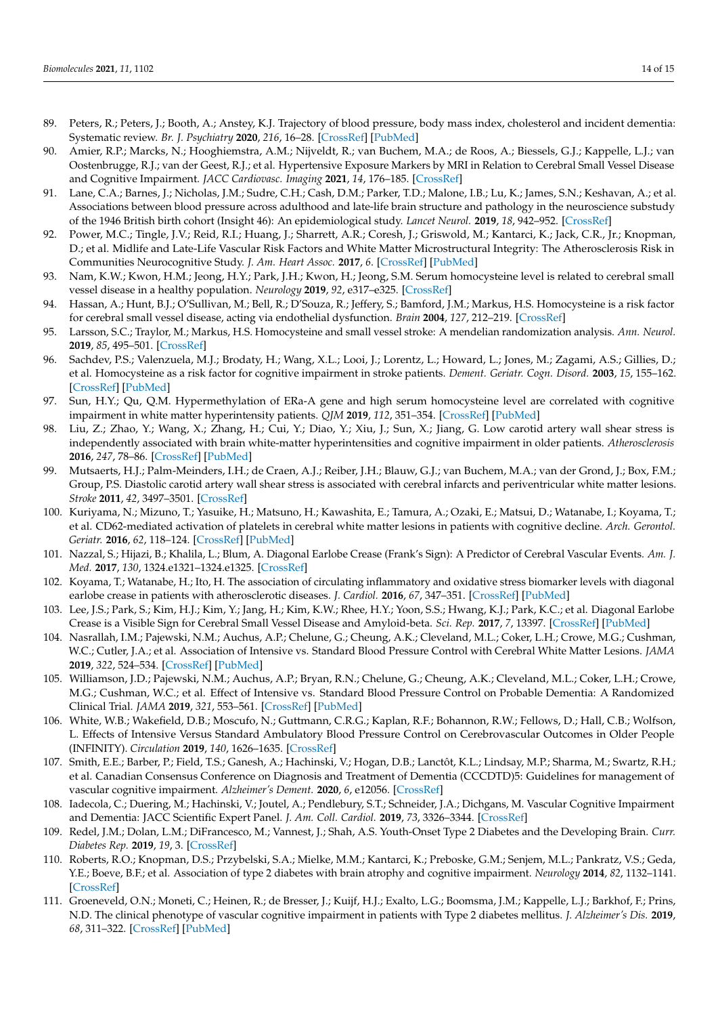- <span id="page-13-0"></span>89. Peters, R.; Peters, J.; Booth, A.; Anstey, K.J. Trajectory of blood pressure, body mass index, cholesterol and incident dementia: Systematic review. *Br. J. Psychiatry* **2020**, *216*, 16–28. [\[CrossRef\]](http://doi.org/10.1192/bjp.2019.156) [\[PubMed\]](http://www.ncbi.nlm.nih.gov/pubmed/31368428)
- <span id="page-13-1"></span>90. Amier, R.P.; Marcks, N.; Hooghiemstra, A.M.; Nijveldt, R.; van Buchem, M.A.; de Roos, A.; Biessels, G.J.; Kappelle, L.J.; van Oostenbrugge, R.J.; van der Geest, R.J.; et al. Hypertensive Exposure Markers by MRI in Relation to Cerebral Small Vessel Disease and Cognitive Impairment. *JACC Cardiovasc. Imaging* **2021**, *14*, 176–185. [\[CrossRef\]](http://doi.org/10.1016/j.jcmg.2020.06.040)
- <span id="page-13-2"></span>91. Lane, C.A.; Barnes, J.; Nicholas, J.M.; Sudre, C.H.; Cash, D.M.; Parker, T.D.; Malone, I.B.; Lu, K.; James, S.N.; Keshavan, A.; et al. Associations between blood pressure across adulthood and late-life brain structure and pathology in the neuroscience substudy of the 1946 British birth cohort (Insight 46): An epidemiological study. *Lancet Neurol.* **2019**, *18*, 942–952. [\[CrossRef\]](http://doi.org/10.1016/S1474-4422(19)30228-5)
- <span id="page-13-3"></span>92. Power, M.C.; Tingle, J.V.; Reid, R.I.; Huang, J.; Sharrett, A.R.; Coresh, J.; Griswold, M.; Kantarci, K.; Jack, C.R., Jr.; Knopman, D.; et al. Midlife and Late-Life Vascular Risk Factors and White Matter Microstructural Integrity: The Atherosclerosis Risk in Communities Neurocognitive Study. *J. Am. Heart Assoc.* **2017**, *6*. [\[CrossRef\]](http://doi.org/10.1161/JAHA.117.005608) [\[PubMed\]](http://www.ncbi.nlm.nih.gov/pubmed/28522676)
- <span id="page-13-4"></span>93. Nam, K.W.; Kwon, H.M.; Jeong, H.Y.; Park, J.H.; Kwon, H.; Jeong, S.M. Serum homocysteine level is related to cerebral small vessel disease in a healthy population. *Neurology* **2019**, *92*, e317–e325. [\[CrossRef\]](http://doi.org/10.1212/WNL.0000000000006816)
- 94. Hassan, A.; Hunt, B.J.; O'Sullivan, M.; Bell, R.; D'Souza, R.; Jeffery, S.; Bamford, J.M.; Markus, H.S. Homocysteine is a risk factor for cerebral small vessel disease, acting via endothelial dysfunction. *Brain* **2004**, *127*, 212–219. [\[CrossRef\]](http://doi.org/10.1093/brain/awh023)
- <span id="page-13-5"></span>95. Larsson, S.C.; Traylor, M.; Markus, H.S. Homocysteine and small vessel stroke: A mendelian randomization analysis. *Ann. Neurol.* **2019**, *85*, 495–501. [\[CrossRef\]](http://doi.org/10.1002/ana.25440)
- <span id="page-13-6"></span>96. Sachdev, P.S.; Valenzuela, M.J.; Brodaty, H.; Wang, X.L.; Looi, J.; Lorentz, L.; Howard, L.; Jones, M.; Zagami, A.S.; Gillies, D.; et al. Homocysteine as a risk factor for cognitive impairment in stroke patients. *Dement. Geriatr. Cogn. Disord.* **2003**, *15*, 155–162. [\[CrossRef\]](http://doi.org/10.1159/000068481) [\[PubMed\]](http://www.ncbi.nlm.nih.gov/pubmed/12584431)
- <span id="page-13-7"></span>97. Sun, H.Y.; Qu, Q.M. Hypermethylation of ERa-A gene and high serum homocysteine level are correlated with cognitive impairment in white matter hyperintensity patients. *QJM* **2019**, *112*, 351–354. [\[CrossRef\]](http://doi.org/10.1093/qjmed/hcz031) [\[PubMed\]](http://www.ncbi.nlm.nih.gov/pubmed/30690641)
- <span id="page-13-8"></span>98. Liu, Z.; Zhao, Y.; Wang, X.; Zhang, H.; Cui, Y.; Diao, Y.; Xiu, J.; Sun, X.; Jiang, G. Low carotid artery wall shear stress is independently associated with brain white-matter hyperintensities and cognitive impairment in older patients. *Atherosclerosis* **2016**, *247*, 78–86. [\[CrossRef\]](http://doi.org/10.1016/j.atherosclerosis.2016.02.003) [\[PubMed\]](http://www.ncbi.nlm.nih.gov/pubmed/26868512)
- <span id="page-13-9"></span>99. Mutsaerts, H.J.; Palm-Meinders, I.H.; de Craen, A.J.; Reiber, J.H.; Blauw, G.J.; van Buchem, M.A.; van der Grond, J.; Box, F.M.; Group, P.S. Diastolic carotid artery wall shear stress is associated with cerebral infarcts and periventricular white matter lesions. *Stroke* **2011**, *42*, 3497–3501. [\[CrossRef\]](http://doi.org/10.1161/STROKEAHA.111.614453)
- <span id="page-13-10"></span>100. Kuriyama, N.; Mizuno, T.; Yasuike, H.; Matsuno, H.; Kawashita, E.; Tamura, A.; Ozaki, E.; Matsui, D.; Watanabe, I.; Koyama, T.; et al. CD62-mediated activation of platelets in cerebral white matter lesions in patients with cognitive decline. *Arch. Gerontol. Geriatr.* **2016**, *62*, 118–124. [\[CrossRef\]](http://doi.org/10.1016/j.archger.2015.09.001) [\[PubMed\]](http://www.ncbi.nlm.nih.gov/pubmed/26388436)
- <span id="page-13-11"></span>101. Nazzal, S.; Hijazi, B.; Khalila, L.; Blum, A. Diagonal Earlobe Crease (Frank's Sign): A Predictor of Cerebral Vascular Events. *Am. J. Med.* **2017**, *130*, 1324.e1321–1324.e1325. [\[CrossRef\]](http://doi.org/10.1016/j.amjmed.2017.03.059)
- <span id="page-13-12"></span>102. Koyama, T.; Watanabe, H.; Ito, H. The association of circulating inflammatory and oxidative stress biomarker levels with diagonal earlobe crease in patients with atherosclerotic diseases. *J. Cardiol.* **2016**, *67*, 347–351. [\[CrossRef\]](http://doi.org/10.1016/j.jjcc.2015.06.002) [\[PubMed\]](http://www.ncbi.nlm.nih.gov/pubmed/26162942)
- <span id="page-13-13"></span>103. Lee, J.S.; Park, S.; Kim, H.J.; Kim, Y.; Jang, H.; Kim, K.W.; Rhee, H.Y.; Yoon, S.S.; Hwang, K.J.; Park, K.C.; et al. Diagonal Earlobe Crease is a Visible Sign for Cerebral Small Vessel Disease and Amyloid-beta. *Sci. Rep.* **2017**, *7*, 13397. [\[CrossRef\]](http://doi.org/10.1038/s41598-017-13370-8) [\[PubMed\]](http://www.ncbi.nlm.nih.gov/pubmed/29042572)
- <span id="page-13-14"></span>104. Nasrallah, I.M.; Pajewski, N.M.; Auchus, A.P.; Chelune, G.; Cheung, A.K.; Cleveland, M.L.; Coker, L.H.; Crowe, M.G.; Cushman, W.C.; Cutler, J.A.; et al. Association of Intensive vs. Standard Blood Pressure Control with Cerebral White Matter Lesions. *JAMA* **2019**, *322*, 524–534. [\[CrossRef\]](http://doi.org/10.1001/jama.2019.10551) [\[PubMed\]](http://www.ncbi.nlm.nih.gov/pubmed/31408137)
- 105. Williamson, J.D.; Pajewski, N.M.; Auchus, A.P.; Bryan, R.N.; Chelune, G.; Cheung, A.K.; Cleveland, M.L.; Coker, L.H.; Crowe, M.G.; Cushman, W.C.; et al. Effect of Intensive vs. Standard Blood Pressure Control on Probable Dementia: A Randomized Clinical Trial. *JAMA* **2019**, *321*, 553–561. [\[CrossRef\]](http://doi.org/10.1001/jama.2018.21442) [\[PubMed\]](http://www.ncbi.nlm.nih.gov/pubmed/30688979)
- <span id="page-13-15"></span>106. White, W.B.; Wakefield, D.B.; Moscufo, N.; Guttmann, C.R.G.; Kaplan, R.F.; Bohannon, R.W.; Fellows, D.; Hall, C.B.; Wolfson, L. Effects of Intensive Versus Standard Ambulatory Blood Pressure Control on Cerebrovascular Outcomes in Older People (INFINITY). *Circulation* **2019**, *140*, 1626–1635. [\[CrossRef\]](http://doi.org/10.1161/CIRCULATIONAHA.119.041603)
- <span id="page-13-16"></span>107. Smith, E.E.; Barber, P.; Field, T.S.; Ganesh, A.; Hachinski, V.; Hogan, D.B.; Lanctôt, K.L.; Lindsay, M.P.; Sharma, M.; Swartz, R.H.; et al. Canadian Consensus Conference on Diagnosis and Treatment of Dementia (CCCDTD)5: Guidelines for management of vascular cognitive impairment. *Alzheimer's Dement.* **2020**, *6*, e12056. [\[CrossRef\]](http://doi.org/10.1002/trc2.12056)
- <span id="page-13-17"></span>108. Iadecola, C.; Duering, M.; Hachinski, V.; Joutel, A.; Pendlebury, S.T.; Schneider, J.A.; Dichgans, M. Vascular Cognitive Impairment and Dementia: JACC Scientific Expert Panel. *J. Am. Coll. Cardiol.* **2019**, *73*, 3326–3344. [\[CrossRef\]](http://doi.org/10.1016/j.jacc.2019.04.034)
- <span id="page-13-18"></span>109. Redel, J.M.; Dolan, L.M.; DiFrancesco, M.; Vannest, J.; Shah, A.S. Youth-Onset Type 2 Diabetes and the Developing Brain. *Curr. Diabetes Rep.* **2019**, *19*, 3. [\[CrossRef\]](http://doi.org/10.1007/s11892-019-1120-y)
- <span id="page-13-19"></span>110. Roberts, R.O.; Knopman, D.S.; Przybelski, S.A.; Mielke, M.M.; Kantarci, K.; Preboske, G.M.; Senjem, M.L.; Pankratz, V.S.; Geda, Y.E.; Boeve, B.F.; et al. Association of type 2 diabetes with brain atrophy and cognitive impairment. *Neurology* **2014**, *82*, 1132–1141. [\[CrossRef\]](http://doi.org/10.1212/WNL.0000000000000269)
- <span id="page-13-20"></span>111. Groeneveld, O.N.; Moneti, C.; Heinen, R.; de Bresser, J.; Kuijf, H.J.; Exalto, L.G.; Boomsma, J.M.; Kappelle, L.J.; Barkhof, F.; Prins, N.D. The clinical phenotype of vascular cognitive impairment in patients with Type 2 diabetes mellitus. *J. Alzheimer's Dis.* **2019**, *68*, 311–322. [\[CrossRef\]](http://doi.org/10.3233/JAD-180914) [\[PubMed\]](http://www.ncbi.nlm.nih.gov/pubmed/30775988)